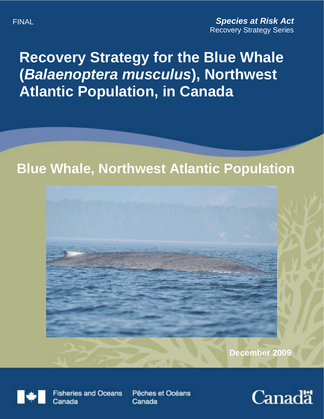# **Recovery Strategy for the Blue Whale (***Balaenoptera musculus***), Northwest Atlantic Population, in Canada**

# **Blue Whale, Northwest Atlantic Population**



**December 2009**



**Fisheries and Oceans** Canada

Pêches et Océans Canada

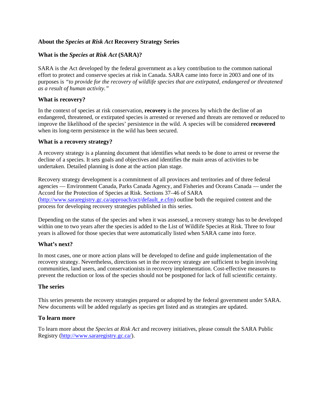#### **About the** *Species at Risk Act* **Recovery Strategy Series**

#### **What is the** *Species at Risk Act* **(SARA)?**

SARA is the Act developed by the federal government as a key contribution to the common national effort to protect and conserve species at risk in Canada. SARA came into force in 2003 and one of its purposes is *"to provide for the recovery of wildlife species that are extirpated, endangered or threatened as a result of human activity."* 

#### **What is recovery?**

In the context of species at risk conservation, **recovery** is the process by which the decline of an endangered, threatened, or extirpated species is arrested or reversed and threats are removed or reduced to improve the likelihood of the species' persistence in the wild. A species will be considered **recovered** when its long-term persistence in the wild has been secured.

#### **What is a recovery strategy?**

A recovery strategy is a planning document that identifies what needs to be done to arrest or reverse the decline of a species. It sets goals and objectives and identifies the main areas of activities to be undertaken. Detailed planning is done at the action plan stage.

Recovery strategy development is a commitment of all provinces and territories and of three federal agencies — Environment Canada, Parks Canada Agency, and Fisheries and Oceans Canada — under the Accord for the Protection of Species at Risk. Sections 37–46 of SARA ([http://www.sararegistry.gc.ca/approach/act/default\\_e.cfm\)](http://www.sararegistry.gc.ca/approach/act/default_e.cfm) outline both the required content and the process for developing recovery strategies published in this series.

Depending on the status of the species and when it was assessed, a recovery strategy has to be developed within one to two years after the species is added to the List of Wildlife Species at Risk. Three to four years is allowed for those species that were automatically listed when SARA came into force.

#### **What's next?**

In most cases, one or more action plans will be developed to define and guide implementation of the recovery strategy. Nevertheless, directions set in the recovery strategy are sufficient to begin involving communities, land users, and conservationists in recovery implementation. Cost-effective measures to prevent the reduction or loss of the species should not be postponed for lack of full scientific certainty.

#### **The series**

This series presents the recovery strategies prepared or adopted by the federal government under SARA. New documents will be added regularly as species get listed and as strategies are updated.

#### **To learn more**

To learn more about the *Species at Risk Act* and recovery initiatives, please consult the SARA Public Registry ([http://www.sararegistry.gc.ca/\)](http://www.sararegistry.gc.ca/).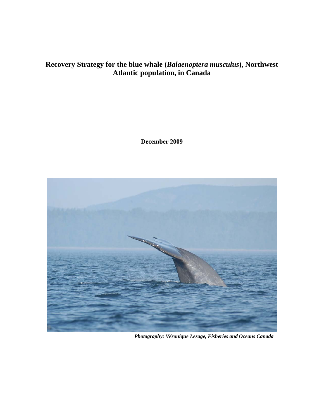### **Recovery Strategy for the blue whale (***Balaenoptera musculus***), Northwest Atlantic population, in Canada**

**December 2009** 



*Photography: Véronique Lesage, Fisheries and Oceans Canada*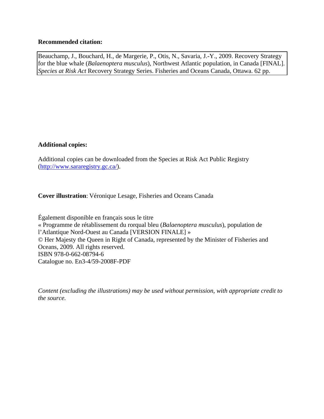#### **Recommended citation:**

Beauchamp, J., Bouchard, H., de Margerie, P., Otis, N., Savaria, J.-Y., 2009. Recovery Strategy for the blue whale (*Balaenoptera musculus*), Northwest Atlantic population, in Canada [FINAL]. *Species at Risk Act* Recovery Strategy Series. Fisheries and Oceans Canada, Ottawa. 62 pp.

#### **Additional copies:**

Additional copies can be downloaded from the Species at Risk Act Public Registry ([http://www.sararegistry.gc.ca/\)](http://www.sararegistry.gc.ca/).

**Cover illustration**: Véronique Lesage, Fisheries and Oceans Canada

Également disponible en français sous le titre « Programme de rétablissement du rorqual bleu (*Balaenoptera musculus*), population de l'Atlantique Nord-Ouest au Canada [VERSION FINALE] » © Her Majesty the Queen in Right of Canada, represented by the Minister of Fisheries and Oceans, 2009. All rights reserved. ISBN 978-0-662-08794-6 Catalogue no. En3-4/59-2008F-PDF

*Content (excluding the illustrations) may be used without permission, with appropriate credit to the source.*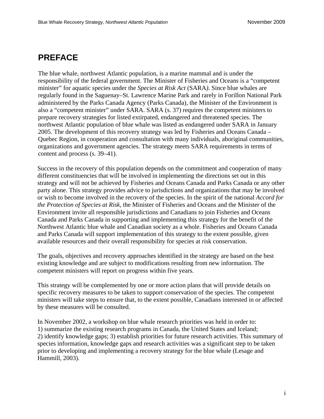# <span id="page-4-0"></span>**PREFACE**

The blue whale, northwest Atlantic population, is a marine mammal and is under the responsibility of the federal government. The Minister of Fisheries and Oceans is a "competent minister" for aquatic species under the *Species at Risk Act* (SARA*).* Since blue whales are regularly found in the Saguenay–St. Lawrence Marine Park and rarely in Forillon National Park administered by the Parks Canada Agency (Parks Canada), the Minister of the Environment is also a "competent minister" under SARA. SARA (s. 37) requires the competent ministers to prepare recovery strategies for listed extirpated, endangered and threatened species. The northwest Atlantic population of blue whale was listed as endangered under SARA in January 2005*.* The development of this recovery strategy was led by Fisheries and Oceans Canada – Quebec Region, in cooperation and consultation with many individuals, aboriginal communities, organizations and government agencies. The strategy meets SARA requirements in terms of content and process (s. 39–41).

Success in the recovery of this population depends on the commitment and cooperation of many different constituencies that will be involved in implementing the directions set out in this strategy and will not be achieved by Fisheries and Oceans Canada and Parks Canada or any other party alone. This strategy provides advice to jurisdictions and organizations that may be involved or wish to become involved in the recovery of the species. In the spirit of the national *Accord for the Protection of Species at Risk*, the Minister of Fisheries and Oceans and the Minister of the Environment invite all responsible jurisdictions and Canadians to join Fisheries and Oceans Canada and Parks Canada in supporting and implementing this strategy for the benefit of the Northwest Atlantic blue whale and Canadian society as a whole. Fisheries and Oceans Canada and Parks Canada will support implementation of this strategy to the extent possible, given available resources and their overall responsibility for species at risk conservation.

The goals, objectives and recovery approaches identified in the strategy are based on the best existing knowledge and are subject to modifications resulting from new information. The competent ministers will report on progress within five years.

This strategy will be complemented by one or more action plans that will provide details on specific recovery measures to be taken to support conservation of the species. The competent ministers will take steps to ensure that, to the extent possible, Canadians interested in or affected by these measures will be consulted.

In November 2002, a workshop on blue whale research priorities was held in order to: 1) summarize the existing research programs in Canada, the United States and Iceland; 2) identify knowledge gaps; 3) establish priorities for future research activities. This summary of species information, knowledge gaps and research activities was a significant step to be taken prior to developing and implementing a recovery strategy for the blue whale (Lesage and Hammill, 2003).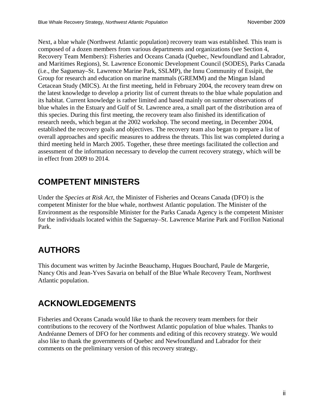Next, a blue whale (Northwest Atlantic population) recovery team was established. This team is composed of a dozen members from various departments and organizations (see Section 4, Recovery Team Members): Fisheries and Oceans Canada (Quebec, Newfoundland and Labrador, and Maritimes Regions), St. Lawrence Economic Development Council (SODES), Parks Canada (i.e., the Saguenay–St. Lawrence Marine Park, SSLMP), the Innu Community of Essipit, the Group for research and education on marine mammals (GREMM) and the Mingan Island Cetacean Study (MICS). At the first meeting, held in February 2004, the recovery team drew on the latest knowledge to develop a priority list of current threats to the blue whale population and its habitat. Current knowledge is rather limited and based mainly on summer observations of blue whales in the Estuary and Gulf of St. Lawrence area, a small part of the distribution area of this species. During this first meeting, the recovery team also finished its identification of research needs, which began at the 2002 workshop. The second meeting, in December 2004, established the recovery goals and objectives. The recovery team also began to prepare a list of overall approaches and specific measures to address the threats. This list was completed during a third meeting held in March 2005. Together, these three meetings facilitated the collection and assessment of the information necessary to develop the current recovery strategy, which will be in effect from 2009 to 2014.

# <span id="page-5-0"></span>**COMPETENT MINISTERS**

Under the *Species at Risk Act*, the Minister of Fisheries and Oceans Canada (DFO) is the competent Minister for the blue whale, northwest Atlantic population. The Minister of the Environment as the responsible Minister for the Parks Canada Agency is the competent Minister for the individuals located within the Saguenay–St. Lawrence Marine Park and Forillon National Park.

# <span id="page-5-1"></span>**AUTHORS**

This document was written by Jacinthe Beauchamp, Hugues Bouchard, Paule de Margerie, Nancy Otis and Jean-Yves Savaria on behalf of the Blue Whale Recovery Team, Northwest Atlantic population.

# <span id="page-5-2"></span>**ACKNOWLEDGEMENTS**

Fisheries and Oceans Canada would like to thank the recovery team members for their contributions to the recovery of the Northwest Atlantic population of blue whales. Thanks to Andréanne Demers of DFO for her comments and editing of this recovery strategy. We would also like to thank the governments of Quebec and Newfoundland and Labrador for their comments on the preliminary version of this recovery strategy.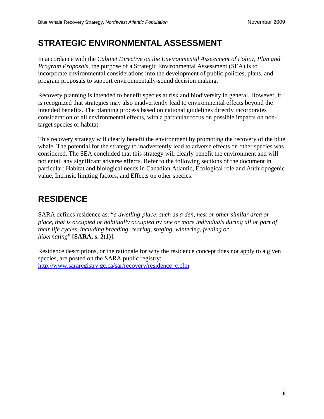# <span id="page-6-0"></span>**STRATEGIC ENVIRONMENTAL ASSESSMENT**

In accordance with the *Cabinet Directive on the Environmental Assessment of Policy, Plan and Program Proposals*, the purpose of a Strategic Environmental Assessment (SEA) is to incorporate environmental considerations into the development of public policies, plans, and program proposals to support environmentally-sound decision making.

Recovery planning is intended to benefit species at risk and biodiversity in general. However, it is recognized that strategies may also inadvertently lead to environmental effects beyond the intended benefits. The planning process based on national guidelines directly incorporates consideration of all environmental effects, with a particular focus on possible impacts on nontarget species or habitat.

This recovery strategy will clearly benefit the environment by promoting the recovery of the blue whale. The potential for the strategy to inadvertently lead to adverse effects on other species was considered. The SEA concluded that this strategy will clearly benefit the environment and will not entail any significant adverse effects. Refer to the following sections of the document in particular: Habitat and biological needs in Canadian Atlantic, Ecological role and Anthropogenic value, Intrinsic limiting factors, and Effects on other species.

# <span id="page-6-1"></span>**RESIDENCE**

SARA defines residence as: "*a dwelling-place, such as a den, nest or other similar area or place, that is occupied or habitually occupied by one or more individuals during all or part of their life cycles, including breeding, rearing, staging, wintering, feeding or hibernating*" **[SARA, s. 2(1)]**.

Residence descriptions, or the rationale for why the residence concept does not apply to a given species, are posted on the SARA public registry: [http://www.sararegistry.gc.ca/sar/recovery/residence\\_e.cfm](http://www.sararegistry.gc.ca/sar/recovery/residence_e.cfm)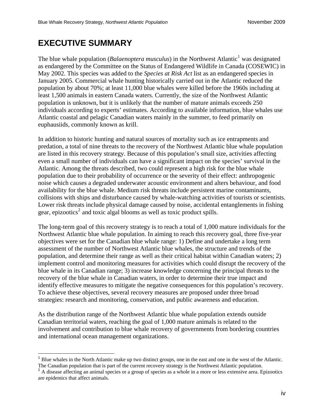# <span id="page-7-2"></span>**EXECUTIVE SUMMARY**

 $\overline{a}$ 

The blue whale population (*Balaenoptera musculus*) in the Northwest Atlantic<sup>[1](#page-7-0)</sup> was designated as endangered by the Committee on the Status of Endangered Wildlife in Canada (COSEWIC) in May 2002. This species was added to the *Species at Risk Act* list as an endangered species in January 2005. Commercial whale hunting historically carried out in the Atlantic reduced the population by about 70%; at least 11,000 blue whales were killed before the 1960s including at least 1,500 animals in eastern Canada waters. Currently, the size of the Northwest Atlantic population is unknown, but it is unlikely that the number of mature animals exceeds 250 individuals according to experts' estimates. According to available information, blue whales use Atlantic coastal and pelagic Canadian waters mainly in the summer, to feed primarily on euphausiids, commonly known as krill.

In addition to historic hunting and natural sources of mortality such as ice entrapments and predation, a total of nine threats to the recovery of the Northwest Atlantic blue whale population are listed in this recovery strategy. Because of this population's small size, activities affecting even a small number of individuals can have a significant impact on the species' survival in the Atlantic. Among the threats described, two could represent a high risk for the blue whale population due to their probability of occurrence or the severity of their effect: anthropogenic noise which causes a degraded underwater acoustic environment and alters behaviour, and food availability for the blue whale. Medium risk threats include persistent marine contaminants, collisions with ships and disturbance caused by whale-watching activities of tourists or scientists. Lower risk threats include physical damage caused by noise, accidental entanglements in fishing gear, epizootics<sup>[2](#page-7-1)</sup> and toxic algal blooms as well as toxic product spills.

The long-term goal of this recovery strategy is to reach a total of 1,000 mature individuals for the Northwest Atlantic blue whale population. In aiming to reach this recovery goal, three five-year objectives were set for the Canadian blue whale range: 1) Define and undertake a long term assessment of the number of Northwest Atlantic blue whales, the structure and trends of the population, and determine their range as well as their critical habitat within Canadian waters; 2) implement control and monitoring measures for activities which could disrupt the recovery of the blue whale in its Canadian range; 3) increase knowledge concerning the principal threats to the recovery of the blue whale in Canadian waters, in order to determine their true impact and identify effective measures to mitigate the negative consequences for this population's recovery. To achieve these objectives, several recovery measures are proposed under three broad strategies: research and monitoring, conservation, and public awareness and education.

As the distribution range of the Northwest Atlantic blue whale population extends outside Canadian territorial waters, reaching the goal of 1,000 mature animals is related to the involvement and contribution to blue whale recovery of governments from bordering countries and international ocean management organizations.

<span id="page-7-0"></span><sup>&</sup>lt;sup>1</sup> Blue whales in the North Atlantic make up two distinct groups, one in the east and one in the west of the Atlantic. The Canadian population that is part of the current recovery strategy is the Northwest Atlantic popul

<span id="page-7-1"></span><sup>&</sup>lt;sup>2</sup> A disease affecting an animal species or a group of species as a whole in a more or less extensive area. Epizootics are epidemics that affect animals.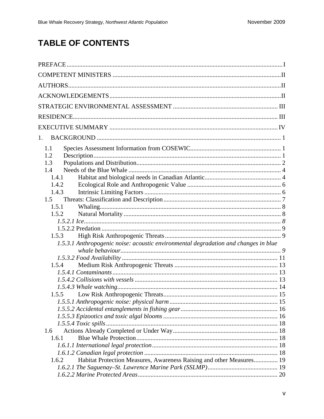# **TABLE OF CONTENTS**

| 1.                                                                                    |  |
|---------------------------------------------------------------------------------------|--|
| 1.1<br>1.2<br>1.3<br>1.4<br>1.4.1<br>1.4.2<br>1.4.3<br>1.5<br>1.5.1<br>1.5.2<br>1.5.3 |  |
| 1.5.3.1 Anthropogenic noise: acoustic environmental degradation and changes in blue   |  |
| 1.5.4                                                                                 |  |
|                                                                                       |  |
| 1.5.5                                                                                 |  |
|                                                                                       |  |
| 1.6<br>1.6.1                                                                          |  |
| Habitat Protection Measures, Awareness Raising and other Measures 19<br>1.6.2         |  |
|                                                                                       |  |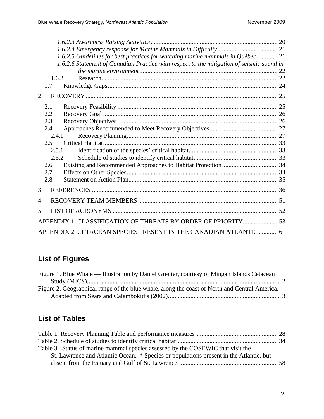| 1.6.2.5 Guidelines for best practices for watching marine mammals in Québec  21           |  |
|-------------------------------------------------------------------------------------------|--|
| 1.6.2.6 Statement of Canadian Practice with respect to the mitigation of seismic sound in |  |
|                                                                                           |  |
| 1.6.3                                                                                     |  |
| 1.7                                                                                       |  |
| 2.                                                                                        |  |
| 2.1                                                                                       |  |
| $2.2\,$                                                                                   |  |
| 2.3                                                                                       |  |
| 2.4                                                                                       |  |
| 2.4.1                                                                                     |  |
| 2.5                                                                                       |  |
| 2.5.1                                                                                     |  |
| 2.5.2                                                                                     |  |
| 2.6                                                                                       |  |
| 2.7                                                                                       |  |
| 2.8                                                                                       |  |
| 3.                                                                                        |  |
| 4.                                                                                        |  |
| 5.                                                                                        |  |
| APPENDIX 1. CLASSIFICATION OF THREATS BY ORDER OF PRIORITY 53                             |  |
| APPENDIX 2. CETACEAN SPECIES PRESENT IN THE CANADIAN ATLANTIC  61                         |  |

# **List of Figures**

| Figure 1. Blue Whale — Illustration by Daniel Grenier, courtesy of Mingan Islands Cetacean    |  |
|-----------------------------------------------------------------------------------------------|--|
|                                                                                               |  |
| Figure 2. Geographical range of the blue whale, along the coast of North and Central America. |  |
|                                                                                               |  |

# **List of Tables**

| Table 3. Status of marine mammal species assessed by the COSEWIC that visit the        |  |
|----------------------------------------------------------------------------------------|--|
| St. Lawrence and Atlantic Ocean. * Species or populations present in the Atlantic, but |  |
|                                                                                        |  |
|                                                                                        |  |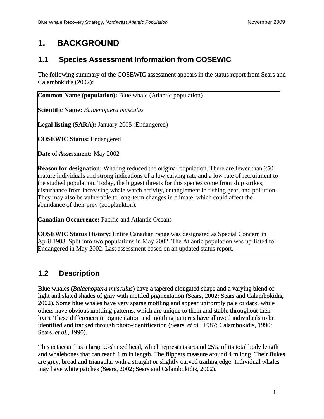# <span id="page-10-0"></span>**1. BACKGROUND**

## <span id="page-10-1"></span>**1.1 Species Assessment Information from COSEWIC**

The following summary of the COSEWIC assessment appears in the status report from Sears and Calambokidis (2002):

**Common Name (population):** Blue whale (Atlantic population)

**Scientific Name:** *Balaenoptera musculus* 

**Legal listing (SARA):** January 2005 (Endangered)

**COSEWIC Status:** Endangered

**Date of Assessment:** May 2002

**Reason for designation:** Whaling reduced the original population. There are fewer than 250 mature individuals and strong indications of a low calving rate and a low rate of recruitment to the studied population. Today, the biggest threats for this species come from ship strikes, disturbance from increasing whale watch activity, entanglement in fishing gear, and pollution. They may also be vulnerable to long-term changes in climate, which could affect the abundance of their prey (zooplankton).

**Canadian Occurrence:** Pacific and Atlantic Oceans

**COSEWIC Status History:** Entire Canadian range was designated as Special Concern in April 1983. Split into two populations in May 2002. The Atlantic population was up-listed to Endangered in May 2002. Last assessment based on an updated status report.

# <span id="page-10-2"></span>**1.2 Description**

Blue whales (*Balaenoptera musculus*) have a tapered elongated shape and a varying blend of light and slated shades of gray with mottled pigmentation (Sears, 2002; Sears and Calambokidis, 2002). Some blue whales have very sparse mottling and appear uniformly pale or dark, while others have obvious mottling patterns, which are unique to them and stable throughout their lives. These differences in pigmentation and mottling patterns have allowed individuals to be identified and tracked through photo-identification (Sears*, et al.*, 1987; Calambokidis, 1990; Sears*, et al.*, 1990).

This cetacean has a large U-shaped head, which represents around 25% of its total body length and whalebones that can reach 1 m in length. The flippers measure around 4 m long. Their flukes are grey, broad and triangular with a straight or slightly curved trailing edge. Individual whales may have white patches (Sears, 2002; Sears and Calambokidis, 2002).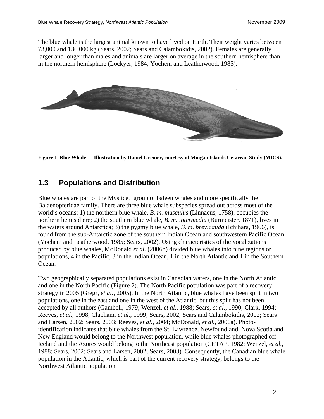The blue whale is the largest animal known to have lived on Earth. Their weight varies between 73,000 and 136,000 kg (Sears, 2002; Sears and Calambokidis, 2002). Females are generally larger and longer than males and animals are larger on average in the southern hemisphere than in the northern hemisphere (Lockyer, 1984; Yochem and Leatherwood, 1985).



**Figure 1**. **Blue Whale — Illustration by Daniel Grenier, courtesy of Mingan Islands Cetacean Study (MICS).** 

### <span id="page-11-1"></span><span id="page-11-0"></span>**1.3 Populations and Distribution**

Blue whales are part of the Mysticeti group of baleen whales and more specifically the Balaenopteridae family. There are three blue whale subspecies spread out across most of the world's oceans: 1) the northern blue whale, *B. m. musculus* (Linnaeus, 1758), occupies the northern hemisphere; 2) the southern blue whale, *B. m. intermedia* (Burmeister, 1871), lives in the waters around Antarctica; 3) the pygmy blue whale, *B. m. brevicauda* (Ichihara, 1966), is found from the sub-Antarctic zone of the southern Indian Ocean and southwestern Pacific Ocean (Yochem and Leatherwood, 1985; Sears, 2002). Using characteristics of the vocalizations produced by blue whales, McDonald *et al*. (2006b) divided blue whales into nine regions or populations, 4 in the Pacific, 3 in the Indian Ocean, 1 in the North Atlantic and 1 in the Southern Ocean.

Two geographically separated populations exist in Canadian waters, one in the North Atlantic and one in the North Pacific (Figure 2). The North Pacific population was part of a recovery strategy in 2005 (Gregr*, et al.*, 2005). In the North Atlantic, blue whales have been split in two populations, one in the east and one in the west of the Atlantic, but this split has not been accepted by all authors (Gambell, 1979; Wenzel*, et al.*, 1988; Sears*, et al.*, 1990; Clark, 1994; Reeves*, et al.*, 1998; Clapham*, et al.*, 1999; Sears, 2002; Sears and Calambokidis, 2002; Sears and Larsen, 2002; Sears, 2003; Reeves*, et al.*, 2004; McDonald*, et al.*, 2006a). Photoidentification indicates that blue whales from the St. Lawrence, Newfoundland, Nova Scotia and New England would belong to the Northwest population, while blue whales photographed off Iceland and the Azores would belong to the Northeast population (CETAP, 1982; Wenzel*, et al.*, 1988; Sears, 2002; Sears and Larsen, 2002; Sears, 2003). Consequently, the Canadian blue whale population in the Atlantic, which is part of the current recovery strategy, belongs to the Northwest Atlantic population.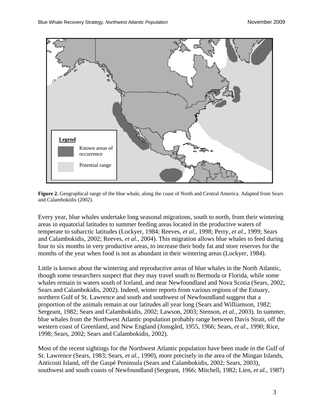

<span id="page-12-0"></span>**Figure 2.** Geographical range of the blue whale, along the coast of North and Central America. Adapted from Sears and Calambokidis (2002).

Every year, blue whales undertake long seasonal migrations, south to north, from their wintering areas in equatorial latitudes to summer feeding areas located in the productive waters of temperate to subarctic latitudes (Lockyer, 1984; Reeves*, et al.*, 1998; Perry*, et al.*, 1999; Sears and Calambokidis, 2002; Reeves*, et al.*, 2004). This migration allows blue whales to feed during four to six months in very productive areas, to increase their body fat and store reserves for the months of the year when food is not as abundant in their wintering areas (Lockyer, 1984).

Little is known about the wintering and reproductive areas of blue whales in the North Atlantic, though some researchers suspect that they may travel south to Bermuda or Florida, while some whales remain in waters south of Iceland, and near Newfoundland and Nova Scotia (Sears, 2002; Sears and Calambokidis, 2002). Indeed, winter reports from various regions of the Estuary, northern Gulf of St. Lawrence and south and southwest of Newfoundland suggest that a proportion of the animals remain at our latitudes all year long (Sears and Williamson, 1982; Sergeant, 1982; Sears and Calambokidis, 2002; Lawson, 2003; Stenson*, et al.*, 2003). In summer, blue whales from the Northwest Atlantic population probably range between Davis Strait, off the western coast of Greenland, and New England (Jonsgård, 1955, 1966; Sears*, et al.*, 1990; Rice, 1998; Sears, 2002; Sears and Calambokidis, 2002).

Most of the recent sightings for the Northwest Atlantic population have been made in the Gulf of St. Lawrence (Sears, 1983; Sears*, et al.*, 1990), more precisely in the area of the Mingan Islands, Anticosti Island, off the Gaspé Peninsula (Sears and Calambokidis, 2002; Sears, 2003), southwest and south coasts of Newfoundland (Sergeant, 1966; Mitchell, 1982; Lien*, et al.*, 1987)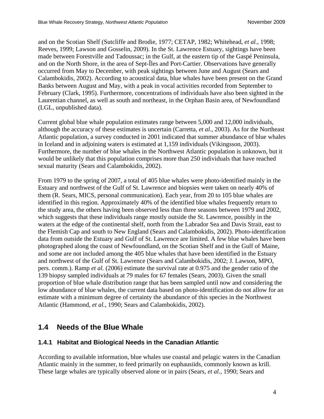and on the Scotian Shelf (Sutcliffe and Brodie, 1977; CETAP, 1982; Whitehead*, et al.*, 1998; Reeves, 1999; Lawson and Gosselin, 2009). In the St. Lawrence Estuary, sightings have been made between Forestville and Tadoussac; in the Gulf, at the eastern tip of the Gaspé Peninsula, and on the North Shore, in the area of Sept-Îles and Port-Cartier. Observations have generall y occurred from May to December, with peak sightings between June and August (Sears and Calambokidis, 2002). According to acoustical data, blue whales have been present on the Grand Banks between August and May, with a peak in vocal activities recorded from September to February (Clark, 1995). Furthermore, concentrations of individuals have also been sighted in the Laurentian channel, as well as south and northeast, in the Orphan Basin area, of Newfoundland (LGL, unpublished data).

Atlantic population, a survey conducted in 2001 indicated that summer abundance of blue whales Furthermore, the number of blue whales in the Northwest Atlantic population is unknown, but it would be unlikely that this population comprises more than 250 individuals that have reached sexual maturity (Sears and Calambokidis, 2002). Current global blue whale population estimates range between 5,000 and 12,000 individuals, although the accuracy of these estimates is uncertain (Carretta*, et al.*, 2003). As for the Northeast in Iceland and in adjoining waters is estimated at 1,159 individuals (Vikingsson, 2003).

From 1979 to the spring of 2007, a total of 405 blue whales were photo-identified mainly in the the study area, the others having been observed less than three seasons between 1979 and 2002, data from outside the Estuary and Gulf of St. Lawrence are limited. A few blue whales have been pers. comm.). Ramp *et al.* (2006) estimate the survival rate at 0.975 and the gender ratio of the low abundance of blue whales, the current data based on photo-identification do not allow for an estimate with a minimum degree of certainty the abundance of this species in the Northwest Atlantic (Hammond, et al., 1990; Sears and Calambokidis, 2002). Estuary and northwest of the Gulf of St. Lawrence and biopsies were taken on nearly 40% of them (R. Sears, MICS, personal communication). Each year, from 20 to 105 blue whales are identified in this region. Approximately 40% of the identified blue whales frequently return to which suggests that these individuals range mostly outside the St. Lawrence, possibly in the waters at the edge of the continental shelf, north from the Labrador Sea and Davis Strait, east to the Flemish Cap and south to New England (Sears and Calambokidis, 2002). Photo-identification photographed along the coast of Newfoundland, on the Scotian Shelf and in the Gulf of Maine, and some are not included among the 405 blue whales that have been identified in the Estuary and northwest of the Gulf of St. Lawrence (Sears and Calambokidis, 2002; J. Lawson, MPO, 139 biopsy sampled individuals at 79 males for 67 females (Sears, 2003). Given the small proportion of blue whale distribution range that has been sampled until now and considering the

#### <span id="page-13-0"></span>**.4 Needs of the Blue Whale 1**

#### <span id="page-13-1"></span>**.4.1 Habitat and Biological Needs in the Canadian Atlantic 1**

According to available information, blue whales use coastal and pelagic waters in the Canadian Atlantic mainly in the summer, to feed primarily on euphausiids, commonly known as krill. These large whales are typically observed alone or in pairs (Sears*, et al.*, 1990; Sears and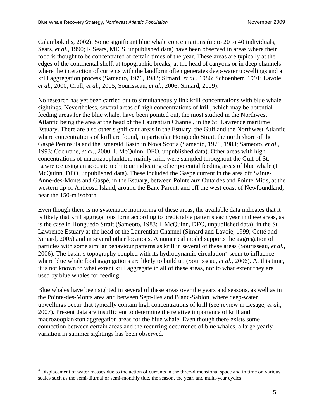Calambokidis, 2002). Some significant blue whale concentrations (up to 20 to 40 individuals, Sears*, et al.*, 1990; R.Sears, MICS, unpublished data) have been observed in areas where their food is thought to be concentrated at certain times of the year. These areas are typically at the edges of the continental shelf, at topographic breaks, at the head of canyons or in deep channels where the interaction of currents with the landform often generates deep-water upwellings and a krill aggregation process (Sameoto, 1976, 1983; Simard*, et al.*, 1986; Schoenherr, 1991; Lavoie*, t al.*, 2000; Croll*, et al.*, 2005; Sourisseau*, et al.*, 2006; Simard, 2009). *e*

No research has yet been carried out to simultaneously link krill concentrations with blue whale sightings. Nevertheless, several areas of high concentrations of krill, which may be potential Estuary. There are also other significant areas in the Estuary, the Gulf and the Northwest Atlantic Gaspé Peninsula and the Emerald Basin in Nova Scotia (Sameoto, 1976, 1983; Sameoto, et al., Lawrence using an acoustic technique indicating other potential feeding areas of blue whale (I. western tip of Anticosti Island, around the Banc Parent, and off the west coast of Newfoundland, near the 150-m isobath. feeding areas for the blue whale, have been pointed out, the most studied in the Northwest Atlantic being the area at the head of the Laurentian Channel, in the St. Lawrence maritime where concentrations of krill are found, in particular Honguedo Strait, the north shore of the 1993; Cochrane*, et al.*, 2000; I. McQuinn, DFO, unpublished data). Other areas with high concentrations of macrozooplankton, mainly krill, were sampled throughout the Gulf of St. McQuinn, DFO, unpublished data). These included the Gaspé current in the area off Sainte-Anne-des-Monts and Gaspé, in the Estuary, between Pointe aux Outardes and Pointe Mitis, at the

is likely that krill aggregations form according to predictable patterns each year in these areas, as particles with some similar behaviour patterns as krill in several of these areas (Sourisseau, et al., where blue whale food aggregations are likely to build up (Sourisseau, et al., 2006). At this time, it is not known to what extent krill aggregate in all of these areas, nor to what extent they are used by blue whales for feeding. Even though there is no systematic monitoring of these areas, the available data indicates that it is the case in Honguedo Strait (Sameoto, 1983; I. McQuinn, DFO, unpublished data), in the St. Lawrence Estuary at the head of the Laurentian Channel (Simard and Lavoie, 1999; Cotté and Simard, 2005) and in several other locations. A numerical model supports the aggregation of  $2006$ ). The basin's topography coupled with its hydrodynamic circulation<sup>[3](#page-14-0)</sup> seem to influence

Blue whales have been sighted in several of these areas over the years and seasons, as well as in upwellings occur that typically contain high concentrations of krill (see review in Lesage, et al., connection between certain areas and the recurring occurrence of blue whales, a large yearly variation in summer sightings has been observed. the Pointe-des-Monts area and between Sept-Iles and Blanc-Sablon, where deep-water 2007). Present data are insufficient to determine the relative importance of krill and macrozooplankton aggregation areas for the blue whale. Even though there exists some

1

<span id="page-14-0"></span> $3$  Displacement of water masses due to the action of currents in the three-dimensional space and in time on various scales such as the semi-diurnal or semi-monthly tide, the season, the year, and multi-year cycles.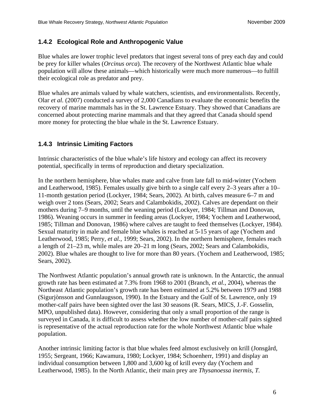#### <span id="page-15-0"></span>**1.4.2 Ecological Role and Anthropogenic Value**

Blue whales are lower trophic level predators that ingest several tons of prey each day and could be prey for killer whales (*Orcinus orca*). The recovery of the Northwest Atlantic blue whale population will allow these animals—which historically were much more numerous—to fulfill their ecological role as predator and prey.

Olar *et al.* (2007) conducted a survey of 2,000 Canadians to evaluate the economic benefits the recovery of marine mammals has in the St. Lawrence Estuary. They showed that Canadians are concerned about protecting marine mammals and that they agreed that Canada should spend more money for protecting the blue whale in the St. Lawrence Estuary. Blue whales are animals valued by whale watchers, scientists, and environmentalists. Recently,

### <span id="page-15-1"></span>**1.4.3 Intrinsic Limiting Factors**

Intrinsic characteristics of the blue whale's life history and ecology can affect its recovery potential, specifically in terms of reproduction and dietary specialization.

1986). Weaning occurs in summer in feeding areas (Lockyer, 1984; Yochem and Leatherwood, Sexual maturity in male and female blue whales is reached at 5-15 years of age (Yochem and a length of 21–23 m, while males are 20–21 m long (Sears, 2002; Sears and Calambokidis, 2002). Blue whales are thought to live for more than 80 years. (Yochem and Leatherwood, 1985; In the northern hemisphere, blue whales mate and calve from late fall to mid-winter (Yochem and Leatherwood, 1985). Females usually give birth to a single calf every 2–3 years after a 10– 11-month gestation period (Lockyer, 1984; Sears, 2002). At birth, calves measure 6–7 m and weigh over 2 tons (Sears, 2002; Sears and Calambokidis, 2002). Calves are dependant on their mothers during 7–9 months, until the weaning period (Lockyer, 1984; Tillman and Donovan, 1985; Tillman and Donovan, 1986) where calves are taught to feed themselves (Lockyer, 1984). Leatherwood, 1985; Perry*, et al.*, 1999; Sears, 2002). In the northern hemisphere, females reach Sears, 2002).

Northeast Atlantic population's growth rate has been estimated at 5.2% between 1979 and 1988 (Sigurjònsson and Gunnlaugsson, 1990). In the Estuary and the Gulf of St. Lawrence, only 19 surveyed in Canada, it is difficult to assess whether the low number of mother-calf pairs sighted is representative of the actual reproduction rate for the whole Northwest Atlantic blue whale The Northwest Atlantic population's annual growth rate is unknown. In the Antarctic, the annual growth rate has been estimated at 7.3% from 1968 to 2001 (Branch*, et al.*, 2004), whereas the mother-calf pairs have been sighted over the last 30 seasons (R. Sears, MICS, J.-F. Gosselin, MPO, unpublished data). However, considering that only a small proportion of the range is population.

Another intrinsic limiting factor is that blue whales feed almost exclusively on krill (Jonsgård, 1955; Sergeant, 1966; Kawamura, 1980; Lockyer, 1984; Schoenherr, 1991) and display an individual consumption between 1,800 and 3,600 kg of krill every day (Yochem and Leatherwood, 1985). In the North Atlantic, their main prey are *Thysanoessa inermis*, *T.*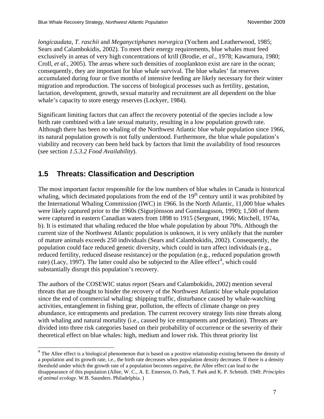*longicaudata*, *T. raschii* and *Meganyctiphanes norvegica* (Yochem and Leatherwood, 1985; Sears and Calambokidis, 2002). To meet their energy requirements, blue whales must feed exclusively in areas of very high concentrations of krill (Brodie*, et al.*, 1978; Kawamura , 1980; Croll*, et al.*, 2005). The areas where such densities of zooplankton exist are rare in the ocean; consequently, they are important for blue whale survival. The blue whales' fat reserves accumulated during four or five months of intensive feeding are likely necessary for their winter migration and reproduction. The success of biological proce sses such as fertility, gestation, lactation, development, growth, sexual maturity and recruitment are all dependent on the blue whale's capacity to store energy reserves (Lockyer, 1984).

, Although there has been no whaling of the Northwest Atlantic blue whale population since 1966 its natural population growth is not fully understood. Furthermore, the blue whale population's viability and recovery can been held back by factors that limit the availability of food resources (see section 1.5.3.2 Food Availability). Significant limiting factors that can affect the recovery potential of the species include a low birth rate combined with a late sexual maturity, resulting in a low population growth rate.

### <span id="page-16-0"></span>**1.5 Threats: Classification and Description**

 $\overline{a}$ 

the International Whaling Commission (IWC) in 1966. In the North Atlantic, 11,000 blue whales current size of the Northwest Atlantic population is unknown, it is very unlikely that the number population could face reduced genetic diversity, which could in turn affect individuals (e.g., reduced fertility, reduced disease resistance) or the population (e.g., reduced population growth rate) (Lacy, 1997). The latter could also be subjected to the Allee effect<sup>4</sup>, which could The most important factor responsible for the low numbers of blue whales in Canada is historical whaling, which decimated populations from the end of the  $19<sup>th</sup>$  century until it was prohibited by were likely captured prior to the 1960s (Sigurjònsson and Gunnlaugsson, 1990); 1,500 of them were captured in eastern Canadian waters from 1898 to 1915 (Sergeant, 1966; Mitchell, 1974a, b). It is estimated that whaling reduced the blue whale population by about 70%. Although the of mature animals exceeds 250 individuals (Sears and Calambokidis, 2002). Consequently, the substantially disrupt this population's recovery.

threats that are thought to hinder the recovery of the Northwest Atlantic blue whale population with whaling and natural mortality (i.e., caused by ice entrapments and predation). Threats are The authors of the COSEWIC status report (Sears and Calambokidis, 2002) mention several since the end of commercial whaling: shipping traffic, disturbance caused by whale-watching activities, entanglement in fishing gear, pollution, the effects of climate change on prey abundance, ice entrapments and predation. The current recovery strategy lists nine threats along divided into three risk categories based on their probability of occurrence or the severity of their theoretical effect on blue whales: high, medium and lower risk. This threat priority list

 $4$  The Allee effect is a biological phenomenon that is based on a positive relationship existing between the density of a population and its growth rate, i.e., the birth rate decreases when population density decreases. If there is a density threshold under which the growth rate of a population becomes negative, the Allee effect can lead to the disappearance of this population (Allee, W. C., A. E. Emerson, O. Park, T. Park and K. P. Schmidt. 1949. *Principles of animal ecology*. W.B. Saunders. Philadelphia. )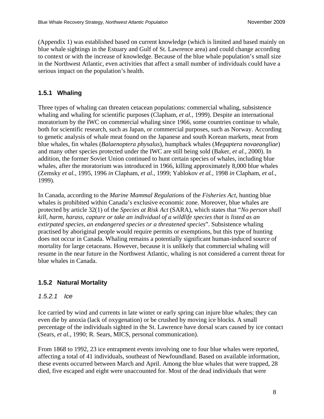(Appendix 1) was established based on current knowledge (which is limited and based mainly on blue whale sightings in the Estuary and Gulf of St. Lawrence area) and could change according to context or with the increase of knowledge. Because of the blue whale population's small size in the Northwest Atlantic, even activities that affect a small number of individuals could have a serious impact on the population's health.

### <span id="page-17-0"></span>**1.5.1 Whaling**

) blue whales, fin whales (*Balaenoptera physalus*), humpback whales (*Megaptera novaeangliae* whales, after the moratorium was introduced in 1966, killing approximately 8,000 blue whales (Zemsky *et al.,* 1995, 1996 *in* Clapham, *et al.*, 1999; Yablokov *et al.*, 1998 *in* Clapham, *et al.*, Three types of whaling can threaten cetacean populations: commercial whaling, subsistence whaling and whaling for scientific purposes (Clapham*, et al.*, 1999). Despite an international moratorium by the IWC on commercial whaling since 1966, some countries continue to whale, both for scientific research, such as Japan, or commercial purposes, such as Norway. According to genetic analysis of whale meat found on the Japanese and south Korean markets, meat from and many other species protected under the IWC are still being sold (Baker*, et al.*, 2000). In addition, the former Soviet Union continued to hunt certain species of whales, including blue 1999).

whales is prohibited within Canada's exclusive economic zone. Moreover, blue whales are protected by article 32(1) of the *Species at Risk Act* (SARA), which states that "*No person shall* mortality for large cetaceans. However, because it is unlikely that commercial whaling will resume in the near future in the Northwest Atlantic, whaling is not considered a current threat for blue whales in Canada. In Canada, according to the *Marine Mammal Regulations* of the *Fisheries Act*, hunting blue *kill, harm, harass, capture or take an individual of a wildlife species that is listed as an extirpated species, an endangered species or a threatened species*". Subsistence whaling practised by aboriginal people would require permits or exemptions, but this type of hunting does not occur in Canada. Whaling remains a potentially significant human-induced source of

### <span id="page-17-1"></span>**1.5.2 Natural Mortality**

### <span id="page-17-2"></span>*1.5.2.1 Ice*

even die by anoxia (lack of oxygenation) or be crushed by moving ice blocks. A small percentage of the individuals sighted in the St. Lawrence have dorsal scars caused by ice contact Ice carried by wind and currents in late winter or early spring can injure blue whales; they can (Sears*, et al.*, 1990; R. Sears, MICS, personal communication).

affecting a total of 41 individuals, southeast of Newfoundland. Based on available information, died, five escaped and eight were unaccounted for. Most of the dead individuals that were From 1868 to 1992, 23 ice entrapment events involving one to four blue whales were reported, these events occurred between March and April. Among the blue whales that were trapped, 28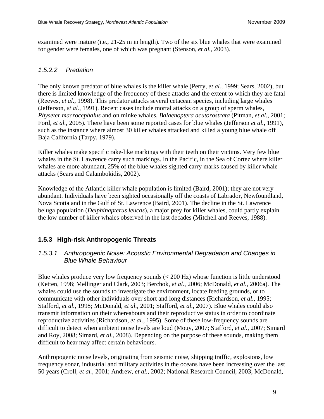examined were mature (i.e., 21-25 m in length). Two of the six blue whales that were examined for gender were females, one of which was pregnant (Stenson*, et al.*, 2003).

#### <span id="page-18-0"></span>*1.5.2.2 Predation*

The only known predator of blue whales is the killer whale (Perry, et al., 1999; Sears, 2002), but there is limited knowledge of the frequency of these attacks and the extent to which they are fatal 1; *Physeter macrocephalus* and on minke whales, *Balaenoptera acutorostrata* (Pitman*, et al.*, 200 Ford, et al., 2005). There have been some reported cases for blue whales (Jefferson et al., 1991), such as the instance where almost 30 killer whales attacked and killed a young blue whale off (Reeves*, et al.*, 1998). This predator attacks several cetacean species, including large whales (Jefferson*, et al.*, 1991). Recent cases include mortal attacks on a group of sperm whales, Baja California (Tarpy, 1979).

whales in the St. Lawrence carry such markings. In the Pacific, in the Sea of Cortez where killer whales are more abundant, 25% of the blue whales sighted carry marks caused by killer whale Killer whales make specific rake-like markings with their teeth on their victims. Very few blue attacks (Sears and Calambokidis, 2002).

beluga population (*Delphinapterus leucas*), a major prey for killer whales, could partly explain the low number of killer whales observed in the last decades (Mitchell and Reeves, 1988). Knowledge of the Atlantic killer whale population is limited (Baird, 2001); they are not very abundant. Individuals have been sighted occasionally off the coasts of Labrador, Newfoundland, Nova Scotia and in the Gulf of St. Lawrence (Baird, 2001). The decline in the St. Lawrence

### <span id="page-18-1"></span>**1.5.3 High-risk Anthropogenic Threats**

#### <span id="page-18-2"></span>*.5.3.1 Anthropogenic Noise: Acoustic Environmental Degradation and Changes in 1 Blue Whale Behaviour*

Blue whales produce very low frequency sounds  $(< 200$  Hz) whose function is little understood (Ketten, 1998; Mellinger and Clark, 2003; Berchok, et al., 2006; McDonald, et al., 2006a). The difficult to detect when ambient noise levels are loud (Mouy, 2007; Stafford, et al., 2007; Simard and Roy, 2008; Simard, et al., 2008). Depending on the purpose of these sounds, making them whales could use the sounds to investigate the environment, locate feeding grounds, or to communicate with other individuals over short and long distances (Richardson*, et al.*, 1995; Stafford*, et al.*, 1998; McDonald*, et al.*, 2001; Stafford*, et al.*, 2007). Blue whales could also transmit information on their whereabouts and their reproductive status in order to coordinate reproductive activities (Richardson*, et al.*, 1995). Some of these low-frequency sounds are difficult to hear may affect certain behaviours.

frequency sonar, industrial and military activities in the oceans have been increasing over the last 50 years (Croll, et al., 2001; Andrew, et al., 2002; National Research Council, 2003; McDonald, Anthropogenic noise levels, originating from seismic noise, shipping traffic, explosions, low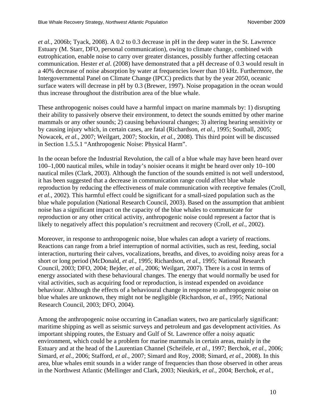*et al.*, 2006b; Tyack, 2008). A 0.2 to 0.3 decrease in pH in the deep water in the St. Lawrence Estuary (M. Starr, DFO, personal communication), owing to climate change, combined with eutrophication, enable noise to carry over greater distances, possibly further affecting cetacean communication. Hester *et al.* (2008) have demonstrated that a pH decrease of 0.3 would result in a 40% decrease of noise absorption by water at frequencies lower than 10 kHz. Furthermore, the Intergovernmental Panel on Climate Change (IPCC) predicts that by the year 2050, oceanic surface waters will decrease in pH by 0.3 (Brewer, 1997). Noise propagation in the ocean would thus increase throughout the distribution area of the blue whale.

by causing injury which, in certain cases, are fatal (Richardson, et al., 1995; Southall, 2005; Nowacek, et al., 2007; Weilgart, 2007; Stockin, et al., 2008). This third point will be discussed These anthropogenic noises could have a harmful impact on marine mammals by: 1) disrupting their ability to passively observe their environment, to detect the sounds emitted by other marine mammals or any other sounds; 2) causing behavioural changes; 3) altering hearing sensitivity or in Section 1.5.5.1 "Anthropogenic Noise: Physical Harm".

100–1,000 nautical miles, while in today's noisier oceans it might be heard over only 10–100 et al., 2002). This harmful effect could be significant for a small-sized population such as the blue whale population (National Research Council, 2003). Based on the assumption that ambient reproduction or any other critical activity, anthropogenic noise could represent a factor that is In the ocean before the Industrial Revolution, the call of a blue whale may have been heard over nautical miles (Clark, 2003). Although the function of the sounds emitted is not well understood, it has been suggested that a decrease in communication range could affect blue whale reproduction by reducing the effectiveness of male communication with receptive females (Croll*,*  noise has a significant impact on the capacity of the blue whales to communicate for likely to negatively affect this population's recruitment and recovery (Croll*, et al.*, 2002).

Reactions can range from a brief interruption of normal activities, such as rest, feeding, social interaction, nurturing their calves, vocalizations, breaths, and dives, to avoiding noisy areas for a Council, 2003; DFO, 2004; Bejder, et al., 2006; Weilgart, 2007). There is a cost in terms of behaviour. Although the effects of a behavioural change in response to anthropogenic noise on blue whales are unknown, they might not be negligible (Richardson, et al., 1995; National Moreover, in response to anthropogenic noise, blue whales can adopt a variety of reactions. short or long period (McDonald*, et al.*, 1995; Richardson*, et al.*, 1995; National Research energy associated with these behavioural changes. The energy that would normally be used for vital activities, such as acquiring food or reproduction, is instead expended on avoidance Research Council, 2003; DFO, 2004).

Among the anthropogenic noise occurring in Canadian waters, two are particularly significant: maritime shipping as well as seismic surveys and petroleum and gas development activities. As Simard, et al., 2006; Stafford, et al., 2007; Simard and Roy, 2008; Simard, et al., 2008). In this area, blue whales emit sounds in a wider range of frequencies than those observed in other areas important shipping routes, the Estuary and Gulf of St. Lawrence offer a noisy aquatic environment, which could be a problem for marine mammals in certain areas, mainly in the Estuary and at the head of the Laurentian Channel (Scheifele*, et al.*, 1997; Berchok*, et al.*, 2006; in the Northwest Atlantic (Mellinger and Clark, 2003; Nieukirk*, et al.*, 2004; Berchok*, et al.*,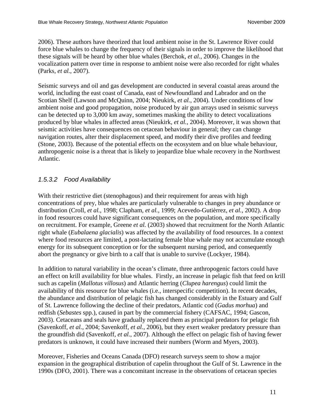2006). These authors have theorized that loud ambient noise in the St. Lawrence River c ould force blue whales to change the frequency of their signals in order to improve the likelihood that these signals will be h eard by other blue whales (Berchok*, et al.*, 2006). Changes in the vocalization pattern over time in response to ambient noise were also recorded for right whales (Parks*, et al.*, 2007).

Seismic surveys and oil and gas development are conducted in several coastal areas around the can be detected up to 3,000 km away, sometimes masking the ability to detect vocalizations produced by blue whales in affected areas (Nieukirk, et al., 2004). Moreover, it was shown that (Stone, 2003). Because of the potential effects on the ecosystem and on blue whale behaviour, nthropogenic noise is a threat that is likely to jeopardize blue whale recovery in the Northwest a Atlantic. world, including the east coast of Canada, east of Newfoundland and Labrador and on the Scotian Shelf (Lawson and McQuinn, 2004; Nieukirk*, et al.*, 2004). Under conditions of low ambient noise and good propagation, noise produced by air gun arrays used in seismic surveys seismic activities have consequences on cetacean behaviour in general; they can change navigation routes, alter their displacement speed, and modify their dive profiles and feeding

### <span id="page-20-0"></span>*1.5.3.2 Food Availability*

right whale (*Eubalaena glacialis*) was affected by the availability of food resources. In a context where food resources are limited, a post-lactating female blue whale may not accumulate enough energy for its subsequent conception or for the subsequent nursing period, and consequently With their restrictive diet (stenophagous) and their requirement for areas with high concentrations of prey, blue whales are particularly vulnerable to changes in prey abundance or distribution (Croll*, et al.*, 1998; Clapham*, et al.*, 1999; Acevedo-Gutièrrez*, et al.*, 2002). A drop in food resources could have significant consequences on the population, and more specifically on recruitment. For example, Greene *et al.* (2003) showed that recruitment for the North Atlantic abort the pregnancy or give birth to a calf that is unable to survive (Lockyer, 1984).

In addition to natural variability in the ocean's climate, three anthropogenic factors could have an effect on krill availability for blue whales. Firstly, an increase in pelagic fish that feed on krill availability of this resource for blue whales (i.e., interspecific competition). In recent decades, the abundance and distribution of pelagic fish has changed considerably in the Estuary and Gulf (Savenkoff, et al., 2004; Savenkoff, et al., 2006), but they exert weaker predatory pressure than the groundfish did (Savenkoff, et al., 2007). Although the effect on pelagic fish of having fewer such as capelin (*Mallotus villosus*) and Atlantic herring (*Clupea harengus*) could limit the of St. Lawrence following the decline of their predators, Atlantic cod (*Gadus morhua*) and redfish (*Sebastes* spp.), caused in part by the commercial fishery (CAFSAC, 1994; Gascon, 2003). Cetaceans and seals have gradually replaced them as principal predators for pelagic fish predators is unknown, it could have increased their numbers (Worm and Myers, 2003).

Moreover, Fisheries and Oceans Canada (DFO) research surveys seem to show a major expansion in the geographical distribution of capelin throughout the Gulf of St. Lawrence in the 1990s (DFO, 2001). There was a concomitant increase in the observations of cetacean species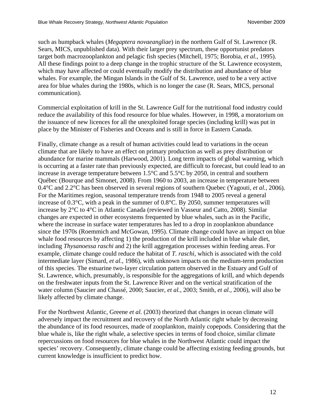such as humpback whales (*Megaptera novaeangliae*) in the northern Gulf of St. Lawrence (R. Sears, MICS, unpublished data). With their larger prey spectrum, these opportunist predators target both macrozooplankton and pelagic fish species (Mitchell, 1975; Borobia*, et al.*, 1995) . All these findings point to a deep change in the trophic structure of the St. Lawrence ecosystem , which may have affected or could eventually modify the distribution and abundance of blue whales. For examp le, the Mingan Islands in the Gulf of St. Lawrence, used to be a very active area for blue whales during the 1980s, which is no longer the case (R. Sears, MICS, personal communication).

Commercial exploitation of krill in the St. Lawrence Gulf for the nutritional food industry could reduce the availability of this food resource for blue whales. However, in 1998, a moratorium on the issuance of new licences for all the unexploited forage species (including krill) was put in place by the Minister of Fisheries and Oceans and is still in force in Eastern Canada.

abundance for marine mammals (Harwood, 2001). Long term impacts of global warming, which is occurring at a faster rate than previously expected, are difficult to forecast, but could lead to an Québec (Bourque and Simonet, 2008). From 1960 to 2003, an increase in temperature between 0.4°C and 2.2°C has been observed in several regions of southern Quebec (Yagouti, et al., 2006). since the 1970s (Roemmich and McGowan, 1995). Climate change could have an impact on blue of this species. The estuarine two-layer circulation pattern observed in the Estuary and Gulf of on the freshwater inputs from the St. Lawrence River and on the vertical stratification of the water column (Saucier and Chassé, 2000; Saucier, et al., 2003; Smith, et al., 2006), will also be Finally, climate change as a result of human activities could lead to variations in the ocean climate that are likely to have an effect on primary production as well as prey distribution or increase in average temperature between 1.5°C and 5.5°C by 2050, in central and southern For the Maritimes region, seasonal temperature trends from 1948 to 2005 reveal a general increase of 0.3°C, with a peak in the summer of 0.8°C. By 2050, summer temperatures will increase by 2°C to 4°C in Atlantic Canada (reviewed in Vasseur and Catto, 2008). Similar changes are expected in other ecosystems frequented by blue whales, such as in the Pacific, where the increase in surface water temperatures has led to a drop in zooplankton abundance whale food resources by affecting 1) the production of the krill included in blue whale diet, including *Thysanoessa raschi* and 2) the krill aggregation processes within feeding areas. For example, climate change could reduce the habitat of *T. raschi*, which is associated with the cold intermediate layer (Simard*, et al.*, 1986), with unknown impacts on the medium-term production St. Lawrence, which, presumably, is responsible for the aggregations of krill, and which depends likely affected by climate change.

the abundance of its food resources, made of zooplankton, mainly copepods. Considering that the repercussions on food resources for blue whales in the Northwest Atlantic could impact the species' recovery. Consequently, climate change could be affecting existing feeding grounds, but current knowledge is insufficient to predict how. For the Northwest Atlantic, Greene *et al.* (2003) theorized that changes in ocean climate will adversely impact the recruitment and recovery of the North Atlantic right whale by decreasing blue whale is, like the right whale, a selective species in terms of food choice, similar climate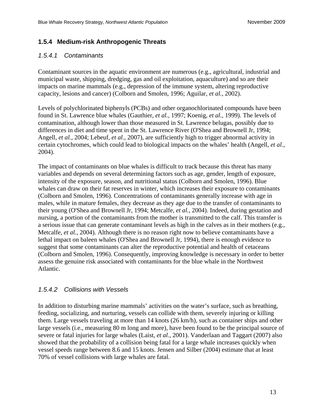#### <span id="page-22-0"></span>**1.5.4 Medium-risk Anthropogenic Threats**

#### <span id="page-22-1"></span>*1.5.4.1 Contaminants*

Contaminant sources in the aquatic environment are numerous (e.g., agricultural, industrial and municipal waste, shipping, dredging, gas and oil exploitation, aquaculture) and so are their impacts on marine mammals (e.g., depression of the immune system, altering reproductive capacity, lesions and cancer) (Colborn and Smolen, 1996; Aguilar*, et al.*, 2002).

Levels of polychlorinated biphenyls (PCBs) and other organochlorinated compounds have been found in St. Lawrence blue whales (Gauthier*, et al.*, 1997; Koenig*, et al.*, 1999). The levels of contamination, although lower than those measured in St. Lawrence belugas, possibly due to differences in diet and time spent in the St. Lawrence River (O'Shea and Brownell Jr, 1994; Angell*, et al.*, 2004; Lebeuf*, et al.*, 2007), are sufficiently high to trigger abnormal activity in certain cytochromes, which could lead to biological impacts on the whales' health (Angell*, et al.*, 2004).

The impact of contaminants on blue whales is difficult to track because this threat has many variables and depends on several determining factors such as age, gender, length of exposure, intensity of the exposure, season, and nutritional status (Colborn and Smolen, 1996). Blue whales can draw on their fat reserves in winter, which increases their exposure to contaminants (Colborn and Smolen, 1996). Concentrations of contaminants generally increase with age in males, while in mature females, they decrease as they age due to the transfer of contaminants to their young (O'Shea and Brownell Jr, 1994; Metcalfe*, et al.*, 2004). Indeed, during gestation and nursing, a portion of the contaminants from the mother is transmitted to the calf. This transfer is a serious issue that can generate contaminant levels as high in the calves as in their mothers (e.g., Metcalfe*, et al.*, 2004). Although there is no reason right now to believe contaminants have a lethal impact on baleen whales (O'Shea and Brownell Jr, 1994), there is enough evidence to suggest that some contaminants can alter the reproductive potential and health of cetaceans (Colborn and Smolen, 1996). Consequently, improving knowledge is necessary in order to better assess the genuine risk associated with contaminants for the blue whale in the Northwest Atlantic.

#### <span id="page-22-2"></span>*1.5.4.2 Collisions with Vessels*

In addition to disturbing marine mammals' activities on the water's surface, such as breathing, feeding, socializing, and nurturing, vessels can collide with them, severely injuring or killing them. Large vessels traveling at more than 14 knots (26 km/h), such as container ships and other large vessels (i.e., measuring 80 m long and more), have been found to be the principal source of severe or fatal injuries for large whales (Laist*, et al.*, 2001). Vanderlaan and Taggart (2007) also showed that the probability of a collision being fatal for a large whale increases quickly when vessel speeds range between 8.6 and 15 knots. Jensen and Silber (2004) estimate that at least 70% of vessel collisions with large whales are fatal.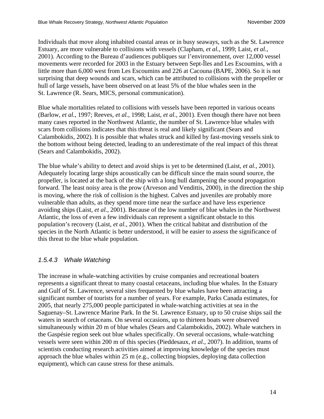Individuals that move along inhabited coastal areas or in busy seaways, such as the St. Lawrence Estuary, are more vulnerable to collisions with vessels (Clapham*, et al.*, 1999; Laist*, et al.*, 2001). According to the Bureau d'audiences publiques sur l'environnement, over 12,000 vessel movements were recorded for 2003 in the Estuary between Sept-Îles and Les Escoumins, with a little more than 6,000 west from Les Escoumins and 226 at Cacouna (BAPE, 2006). So it is not surprising that deep wounds and scars, which can be attributed to collisions with the propeller or hull of large vessels, have been observed on at least 5% of the blue whales seen in the St. Lawrence (R. Sears, MICS, personal communication).

Blue whale mortalities related to collisions with vessels have been reported in various oceans (Barlow*, et al.*, 1997; Reeves*, et al.*, 1998; Laist*, et al.*, 2001). Even though there have not been many cases reported in the Northwest Atlantic, the number of St. Lawrence blue whales with scars from collisions indicates that this threat is real and likely significant (Sears and Calambokidis, 2002). It is possible that whales struck and killed by fast-moving vessels sink to the bottom without being detected, leading to an underestimate of the real impact of this threat (Sears and Calambokidis, 2002).

The blue whale's ability to detect and avoid ships is yet to be determined (Laist*, et al.*, 2001). Adequately locating large ships acoustically can be difficult since the main sound source, the propeller, is located at the back of the ship with a long hull dampening the sound propagation forward. The least noisy area is the prow (Arveson and Vendittis, 2000), in the direction the ship is moving, where the risk of collision is the highest. Calves and juveniles are probably more vulnerable than adults, as they spend more time near the surface and have less experience avoiding ships (Laist*, et al.*, 2001). Because of the low number of blue whales in the Northwest Atlantic, the loss of even a few individuals can represent a significant obstacle to this population's recovery (Laist*, et al.*, 2001). When the critical habitat and distribution of the species in the North Atlantic is better understood, it will be easier to assess the significance of this threat to the blue whale population.

#### <span id="page-23-0"></span>*1.5.4.3 Whale Watching*

The increase in whale-watching activities by cruise companies and recreational boaters represents a significant threat to many coastal cetaceans, including blue whales. In the Estuary and Gulf of St. Lawrence, several sites frequented by blue whales have been attracting a significant number of tourists for a number of years. For example, Parks Canada estimates, for 2005, that nearly 275,000 people participated in whale-watching activities at sea in the Saguenay–St. Lawrence Marine Park. In the St. Lawrence Estuary, up to 50 cruise ships sail the waters in search of cetaceans. On several occasions, up to thirteen boats were observed simultaneously within 20 m of blue whales (Sears and Calambokidis, 2002). Whale watchers in the Gaspésie region seek out blue whales specifically. On several occasions, whale-watching vessels were seen within 200 m of this species (Pieddesaux*, et al.*, 2007). In addition, teams of scientists conducting research activities aimed at improving knowledge of the species must approach the blue whales within 25 m (e.g., collecting biopsies, deploying data collection equipment), which can cause stress for these animals.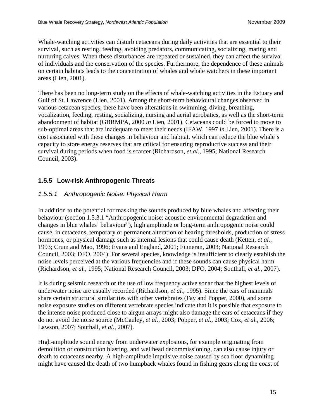Whale-watching activities can disturb cetaceans during daily activities that are essential to their survival, such as resting, feeding, avoiding predators, communicating, socializing, mating and nurturing calves. When these disturbances are repeated or sustained, they can affect the survival of individuals and the conservation of the species. Furthermore, the dependence of these animals on certain habitats leads to the concentration of whales and whale watchers in these important areas (Lien, 2001).

There has been no long-term study on the effects of whale-watching activities in the Estuary and Gulf of St. Lawrence (Lien, 2001). Among the short-term behavioural changes observed in various cetacean species, there have been alterations in swimming, diving, breathing, vocalization, feeding, resting, socializing, nursing and aerial acrobatics, as well as the short-term abandonment of habitat (GBRMPA, 2000 *in* Lien, 2001). Cetaceans could be forced to move to sub-optimal areas that are inadequate to meet their needs (IFAW, 1997 *in* Lien, 2001). There is a cost associated with these changes in behaviour and habitat, which can reduce the blue whale's capacity to store energy reserves that are critical for ensuring reproductive success and their survival during periods when food is scarcer (Richardson*, et al.*, 1995; National Research Council, 2003).

### <span id="page-24-0"></span>**1.5.5 Low-risk Anthropogenic Threats**

#### <span id="page-24-1"></span>*1.5.5.1 Anthropogenic Noise: Physical Harm*

In addition to the potential for masking the sounds produced by blue whales and affecting their behaviour (section 1.5.3.1 "Anthropogenic noise: acoustic environmental degradation and changes in blue whales' behaviour"), high amplitude or long-term anthropogenic noise could cause, in cetaceans, temporary or permanent alteration of hearing thresholds, production of stress hormones, or physical damage such as internal lesions that could cause death (Ketten*, et al.*, 1993; Crum and Mao, 1996; Evans and England, 2001; Finneran, 2003; National Research Council, 2003; DFO, 2004). For several species, knowledge is insufficient to clearly establish the noise levels perceived at the various frequencies and if these sounds can cause physical harm (Richardson*, et al.*, 1995; National Research Council, 2003; DFO, 2004; Southall*, et al.*, 2007).

It is during seismic research or the use of low frequency active sonar that the highest levels of underwater noise are usually recorded (Richardson*, et al.*, 1995). Since the ears of mammals share certain structural similarities with other vertebrates (Fay and Popper, 2000), and some noise exposure studies on different vertebrate species indicate that it is possible that exposure to the intense noise produced close to airgun arrays might also damage the ears of cetaceans if they do not avoid the noise source (McCauley*, et al.*, 2003; Popper*, et al.*, 2003; Cox*, et al.*, 2006; Lawson, 2007; Southall*, et al.*, 2007).

High-amplitude sound energy from underwater explosions, for example originating from demolition or construction blasting, and wellhead decommissioning, can also cause injury or death to cetaceans nearby. A high-amplitude impulsive noise caused by sea floor dynamiting might have caused the death of two humpback whales found in fishing gears along the coast of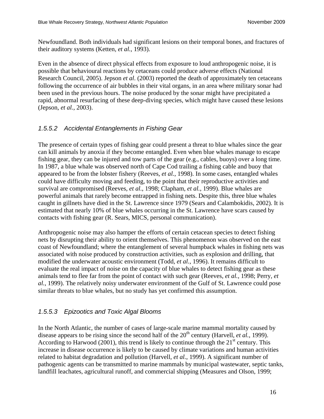Newfoundland. Both individuals had significant lesions on their temporal bones, and fractures of their auditory systems (Ketten*, et al.*, 1993).

Even in the absence of direct physical effects from exposure to loud anthropogenic noise, it is possible that behavioural reactions by cetaceans could produce adverse effects (National Research Council, 2005). Jepson *et al*. (2003) reported the death of approximately ten cetaceans following the occurrence of air bubbles in their vital organs, in an area where military sonar had been used in the previous hours. The noise produced by the sonar might have precipitated a rapid, abnormal resurfacing of these deep-diving species, which might have caused these lesions (Jepson*, et al.*, 2003).

### <span id="page-25-0"></span>*1.5.5.2 Accidental Entanglements in Fishing Gear*

The presence of certain types of fishing gear could present a threat to blue whales since the gear can kill animals by anoxia if they become entangled. Even when blue whales manage to escape fishing gear, they can be injured and tow parts of the gear (e.g., cables, buoys) over a long time. In 1987, a blue whale was observed north of Cape Cod trailing a fishing cable and buoy that appeared to be from the lobster fishery (Reeves*, et al.*, 1998). In some cases, entangled whales could have difficulty moving and feeding, to the point that their reproductive activities and survival are compromised (Reeves*, et al.*, 1998; Clapham*, et al.*, 1999). Blue whales are powerful animals that rarely become entrapped in fishing nets. Despite this, three blue whales caught in gillnets have died in the St. Lawrence since 1979 (Sears and Calambokidis, 2002). It is estimated that nearly 10% of blue whales occurring in the St. Lawrence have scars caused by contacts with fishing gear (R. Sears, MICS, personal communication).

Anthropogenic noise may also hamper the efforts of certain cetacean species to detect fishing nets by disrupting their ability to orient themselves. This phenomenon was observed on the east coast of Newfoundland; where the entanglement of several humpback whales in fishing nets was associated with noise produced by construction activities, such as explosion and drilling, that modified the underwater acoustic environment (Todd*, et al.*, 1996). It remains difficult to evaluate the real impact of noise on the capacity of blue whales to detect fishing gear as these animals tend to flee far from the point of contact with such gear (Reeves*, et al.*, 1998; Perry*, et al.*, 1999). The relatively noisy underwater environment of the Gulf of St. Lawrence could pose similar threats to blue whales, but no study has yet confirmed this assumption.

### <span id="page-25-1"></span>*1.5.5.3 Epizootics and Toxic Algal Blooms*

In the North Atlantic, the number of cases of large-scale marine mammal mortality caused by disease appears to be rising since the second half of the  $20<sup>th</sup>$  century (Harvell, *et al.*, 1999). According to Harwood (2001), this trend is likely to continue through the  $21<sup>st</sup>$  century. This increase in disease occurrence is likely to be caused by climate variations and human activities related to habitat degradation and pollution (Harvell*, et al.*, 1999). A significant number of pathogenic agents can be transmitted to marine mammals by municipal wastewater, septic tanks, landfill leachates, agricultural runoff, and commercial shipping (Measures and Olson, 1999;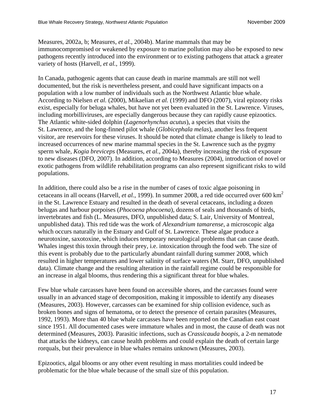Measures, 2002a, b; Measures*, et al.*, 2004b). Marine mammals that may be immunocompromised or weakened by exposure to marine pollution may also be exposed to new pathogens recently introduced into the environment or to existing pathogens that attack a greater variety of hosts (Harvell*, et al.*, 1999).

In Canada, pathogenic agents that can cause death in marine mammals are still not well documented, but the risk is nevertheless present, and could have significant impacts on a population with a low number of individuals such as the Northwest Atlantic blue whale. According to Nielsen *et al.* (2000), Mikaelian *et al.* (1999) and DFO (2007), viral epizooty risks exist, especially for beluga whales, but have not yet been evaluated in the St. Lawrence. Viruses, including morbilliviruses, are especially dangerous because they can rapidly cause epizootics. The Atlantic white-sided dolphin (*Lagenorhynchus acutus*), a species that visits the St. Lawrence, and the long-finned pilot whale (*Globicephala melas*), another less frequent visitor, are reservoirs for these viruses. It should be noted that climate change is likely to lead to increased occurrences of new marine mammal species in the St. Lawrence such as the pygmy sperm whale, *Kogia breviceps* (Measures*, et al.*, 2004a), thereby increasing the risk of exposure to new diseases (DFO*,* 2007). In addition, according to Measures (2004), introduction of novel or exotic pathogens from wildlife rehabilitation programs can also represent significant risks to wild populations.

In addition, there could also be a rise in the number of cases of toxic algae poisoning in cetaceans in all oceans (Harvell*, et al.*, 1999). In summer 2008, a red tide occurred over 600 km2 in the St. Lawrence Estuary and resulted in the death of several cetaceans, including a dozen belugas and harbour porpoises (*Phocoena phocoena*), dozens of seals and thousands of birds, invertebrates and fish (L. Measures, DFO, unpublished data; S. Lair, University of Montreal, unpublished data). This red tide was the work of *Alexandrium tamarense*, a microscopic alga which occurs naturally in the Estuary and Gulf of St. Lawrence. These algae produce a neurotoxine, saxotoxine, which induces temporary neurological problems that can cause death. Whales ingest this toxin through their prey, i.e. intoxication through the food web. The size of this event is probably due to the particularly abundant rainfall during summer 2008, which resulted in higher temperatures and lower salinity of surface waters (M. Starr, DFO, unpublished data). Climate change and the resulting alteration in the rainfall regime could be responsible for an increase in algal blooms, thus rendering this a significant threat for blue whales.

Few blue whale carcasses have been found on accessible shores, and the carcasses found were usually in an advanced stage of decomposition, making it impossible to identify any diseases (Measures, 2003). However, carcasses can be examined for ship collision evidence, such as broken bones and signs of hematoma, or to detect the presence of certain parasites (Measures, 1992, 1993). More than 40 blue whale carcasses have been reported on the Canadian east coast since 1951. All documented cases were immature whales and in most, the cause of death was not determined (Measures, 2003). Parasitic infections, such as *Crassicauda boopis*, a 2-m nematode that attacks the kidneys, can cause health problems and could explain the death of certain large rorquals, but their prevalence in blue whales remains unknown (Measures, 2003).

Epizootics, algal blooms or any other event resulting in mass mortalities could indeed be problematic for the blue whale because of the small size of this population.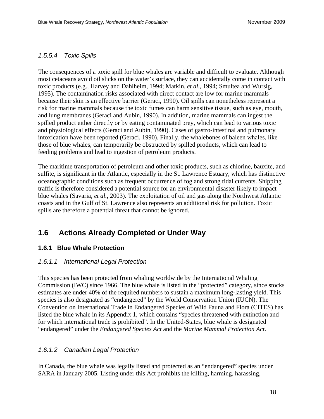#### <span id="page-27-0"></span>*1.5.5.4 Toxic Spills*

The consequences of a toxic spill for blue whales are variable and difficult to evaluate. Although most cetaceans avoid oil slicks on the water's surface, they can accidentally come in contact with toxic products (e.g., Harvey and Dahlheim, 1994; Matkin*, et al.*, 1994; Smultea and Wursig, 1995). The contamination risks associated with direct contact are low for marine mammals because their skin is an effective barrier (Geraci, 1990). Oil spills can nonetheless represent a risk for marine mammals because the toxic fumes can harm sensitive tissue, such as eye, mouth, and lung membranes (Geraci and Aubin, 1990). In addition, marine mammals can ingest the spilled product either directly or by eating contaminated prey, which can lead to various toxic and physiological effects (Geraci and Aubin, 1990). Cases of gastro-intestinal and pulmonary intoxication have been reported (Geraci, 1990). Finally, the whalebones of baleen whales, like those of blue whales, can temporarily be obstructed by spilled products, which can lead to feeding problems and lead to ingestion of petroleum products.

The maritime transportation of petroleum and other toxic products, such as chlorine, bauxite, and sulfite, is significant in the Atlantic, especially in the St. Lawrence Estuary, which has distinctive oceanographic conditions such as frequent occurrence of fog and strong tidal currents. Shipping traffic is therefore considered a potential source for an environmental disaster likely to impact blue whales (Savaria*, et al.*, 2003). The exploitation of oil and gas along the Northwest Atlantic coasts and in the Gulf of St. Lawrence also represents an additional risk for pollution. Toxic spills are therefore a potential threat that cannot be ignored.

### <span id="page-27-1"></span>**1.6 Actions Already Completed or Under Way**

#### <span id="page-27-2"></span>**1.6.1 Blue Whale Protection**

#### <span id="page-27-3"></span>*1.6.1.1 International Legal Protection*

This species has been protected from whaling worldwide by the International Whaling Commission (IWC) since 1966. The blue whale is listed in the "protected" category, since stocks estimates are under 40% of the required numbers to sustain a maximum long-lasting yield. This species is also designated as "endangered" by the World Conservation Union (IUCN). The Convention on International Trade in Endangered Species of Wild Fauna and Flora (CITES) has listed the blue whale in its Appendix 1, which contains "species threatened with extinction and for which international trade is prohibited". In the United-States, blue whale is designated "endangered" under the *Endangered Species Act* and the *Marine Mammal Protection Act*.

#### <span id="page-27-4"></span>*1.6.1.2 Canadian Legal Protection*

In Canada, the blue whale was legally listed and protected as an "endangered" species under SARA in January 2005. Listing under this Act prohibits the killing, harming, harassing,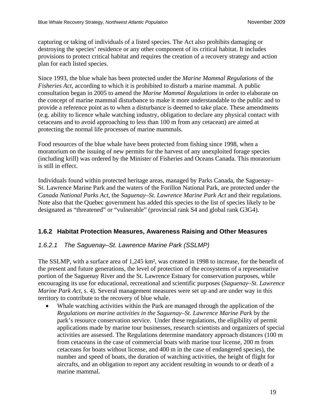capturing or taking of individuals of a listed species. The Act also prohibits damaging or destroying the species' residence or any other component of its critical habitat. It includes provisions to protect critical habitat and requires the creation of a recovery strategy and action plan for each listed species.

Since 1993, the blue whale has been protected under the *Marine Mammal Regulations* of the *Fisheries Act*, according to which it is prohibited to disturb a marine mammal. A public consultation began in 2005 to amend the *Marine Mammal Regulations* in order to elaborate on the concept of marine mammal disturbance to make it more understandable to the public and to provide a reference point as to when a disturbance is deemed to take place. These amendments (e.g. ability to licence whale watching industry, obligation to declare any physical contact with cetaceans and to avoid approaching to less than 100 m from any cetacean) are aimed at protecting the normal life processes of marine mammals.

Food resources of the blue whale have been protected from fishing since 1998, when a moratorium on the issuing of new permits for the harvest of any unexploited forage species (including krill) was ordered by the Minister of Fisheries and Oceans Canada. This moratorium is still in effect.

Individuals found within protected heritage areas, managed by Parks Canada, the Saguenay– St. Lawrence Marine Park and the waters of the Forillon National Park, are protected under the *Canada National Parks Act*, the *Saguenay–St. Lawrence Marine Park Act* and their regulations. Note also that the Quebec government has added this species to the list of species likely to be designated as "threatened" or "vulnerable" (provincial rank S4 and global rank G3G4).

#### <span id="page-28-0"></span>**1.6.2 Habitat Protection Measures, Awareness Raising and Other Measures**

#### <span id="page-28-1"></span>*1.6.2.1 The Saguenay–St. Lawrence Marine Park (SSLMP)*

The SSLMP, with a surface area of 1,245 km², was created in 1998 to increase, for the benefit of the present and future generations, the level of protection of the ecosystems of a representative portion of the Saguenay River and the St. Lawrence Estuary for conservation purposes, while encouraging its use for educational, recreational and scientific purposes (*Saguenay–St. Lawrence Marine Park Act*, s. 4). Several management measures were set up and are under way in this territory to contribute to the recovery of blue whale.

 Whale watching activities within the Park are managed through the application of the *Regulations on marine activities in the Saguenay–St. Lawrence Marine Park* by the park's resource conservation service. Under these regulations, the eligibility of permit applications made by marine tour businesses, research scientists and organizers of special activities are assessed. The Regulations determine mandatory approach distances (100 m from cetaceans in the case of commercial boats with marine tour license, 200 m from cetaceans for boats without license, and 400 m in the case of endangered species), the number and speed of boats, the duration of watching activities, the height of flight for aircrafts, and an obligation to report any accident resulting in wounds to or death of a marine mammal.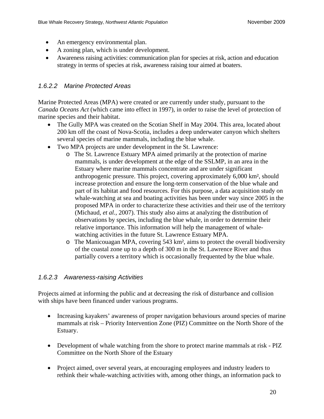- An emergency environmental plan.
- A zoning plan, which is under development.
- Awareness raising activities: communication plan for species at risk, action and education strategy in terms of species at risk, awareness raising tour aimed at boaters.

#### <span id="page-29-0"></span>*1.6.2.2 Marine Protected Areas*

Marine Protected Areas (MPA) were created or are currently under study, pursuant to the *Canada Oceans Act* (which came into effect in 1997), in order to raise the level of protection of marine species and their habitat.

- The Gully MPA was created on the Scotian Shelf in May 2004. This area, located about 200 km off the coast of Nova-Scotia, includes a deep underwater canyon which shelters several species of marine mammals, including the blue whale.
- Two MPA projects are under development in the St. Lawrence:
	- o The St. Lawrence Estuary MPA aimed primarily at the protection of marine mammals, is under development at the edge of the SSLMP, in an area in the Estuary where marine mammals concentrate and are under significant anthropogenic pressure. This project, covering approximately 6,000 km², should increase protection and ensure the long-term conservation of the blue whale and part of its habitat and food resources. For this purpose, a data acquisition study on whale-watching at sea and boating activities has been under way since 2005 in the proposed MPA in order to characterize these activities and their use of the territory (Michaud*, et al.*, 2007). This study also aims at analyzing the distribution of observations by species, including the blue whale, in order to determine their relative importance. This information will help the management of whalewatching activities in the future St. Lawrence Estuary MPA.
	- o The Manicouagan MPA, covering 543 km², aims to protect the overall biodiversity of the coastal zone up to a depth of 300 m in the St. Lawrence River and thus partially covers a territory which is occasionally frequented by the blue whale.

#### <span id="page-29-1"></span>*1.6.2.3 Awareness-raising Activities*

Projects aimed at informing the public and at decreasing the risk of disturbance and collision with ships have been financed under various programs.

- Increasing kayakers' awareness of proper navigation behaviours around species of marine mammals at risk – Priority Intervention Zone (PIZ) Committee on the North Shore of the Estuary.
- Development of whale watching from the shore to protect marine mammals at risk PIZ Committee on the North Shore of the Estuary
- Project aimed, over several years, at encouraging employees and industry leaders to rethink their whale-watching activities with, among other things, an information pack to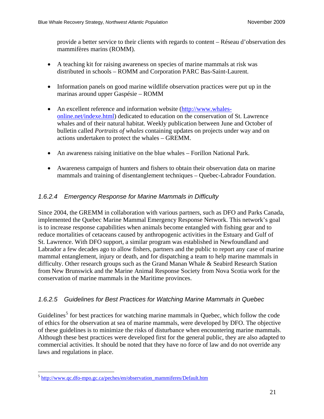provide a better service to their clients with regards to content – Réseau d'observation des mammifères marins (ROMM).

- A teaching kit for raising awareness on species of marine mammals at risk was distributed in schools – ROMM and Corporation PARC Bas-Saint-Laurent*.*
- Information panels on good marine wildlife observation practices were put up in the marinas around upper Gaspésie – ROMM
- An excellent reference and information website [\(http://www.whales](http://www.whales-online.net/indexe.html)[online.net/indexe.html\)](http://www.whales-online.net/indexe.html) dedicated to education on the conservation of St. Lawrence whales and of their natural habitat. Weekly publication between June and October of bulletin called *Portraits of whales* containing updates on projects under way and on actions undertaken to protect the whales – GREMM.
- An awareness raising initiative on the blue whales Forillon National Park.
- Awareness campaign of hunters and fishers to obtain their observation data on marine mammals and training of disentanglement techniques – Quebec-Labrador Foundation.

### <span id="page-30-0"></span>*1.6.2.4 Emergency Response for Marine Mammals in Difficulty*

Since 2004, the GREMM in collaboration with various partners, such as DFO and Parks Canada, implemented the Quebec Marine Mammal Emergency Response Network. This network's goal is to increase response capabilities when animals become entangled with fishing gear and to reduce mortalities of cetaceans caused by anthropogenic activities in the Estuary and Gulf of St. Lawrence. With DFO support, a similar program was established in Newfoundland and Labrador a few decades ago to allow fishers, partners and the public to report any case of marine mammal entanglement, injury or death, and for dispatching a team to help marine mammals in difficulty. Other research groups such as the Grand Manan Whale & Seabird Research Station from New Brunswick and the Marine Animal Response Society from Nova Scotia work for the conservation of marine mammals in the Maritime provinces.

#### <span id="page-30-1"></span>*1.6.2.5 Guidelines for Best Practices for Watching Marine Mammals in Quebec*

Guidelines<sup>[5](#page-30-2)</sup> for best practices for watching marine mammals in Quebec, which follow the code of ethics for the observation at sea of marine mammals, were developed by DFO. The objective of these guidelines is to minimize the risks of disturbance when encountering marine mammals. Although these best practices were developed first for the general public, they are also adapted to commercial activities. It should be noted that they have no force of law and do not override any laws and regulations in place.

1

<span id="page-30-2"></span><sup>5</sup> [http://www.qc.dfo-mpo.gc.ca/peches/en/observation\\_mammiferes/Default.htm](http://www.qc.dfo-mpo.gc.ca/peches/en/observation_mammiferes/Default.htm)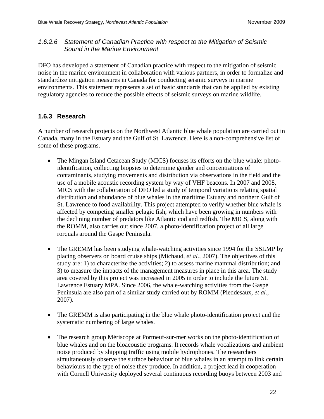#### <span id="page-31-0"></span>*1.6.2.6 Statement of Canadian Practice with respect to the Mitigation of Seismic Sound in the Marine Environment*

DFO has developed a statement of Canadian practice with respect to the mitigation of seismic noise in the marine environment in collaboration with various partners, in order to formalize and standardize mitigation measures in Canada for conducting seismic surveys in marine environments. This statement represents a set of basic standards that can be applied by existing regulatory agencies to reduce the possible effects of seismic surveys on marine wildlife.

#### <span id="page-31-1"></span>**1.6.3 Research**

A number of research projects on the Northwest Atlantic blue whale population are carried out in Canada, many in the Estuary and the Gulf of St. Lawrence. Here is a non-comprehensive list of some of these programs.

- The Mingan Island Cetacean Study (MICS) focuses its efforts on the blue whale: photoidentification, collecting biopsies to determine gender and concentrations of contaminants, studying movements and distribution via observations in the field and the use of a mobile acoustic recording system by way of VHF beacons. In 2007 and 2008, MICS with the collaboration of DFO led a study of temporal variations relating spatial distribution and abundance of blue whales in the maritime Estuary and northern Gulf of St. Lawrence to food availability. This project attempted to verify whether blue whale is affected by competing smaller pelagic fish, which have been growing in numbers with the declining number of predators like Atlantic cod and redfish. The MICS, along with the ROMM, also carries out since 2007, a photo-identification project of all large rorquals around the Gaspe Peninsula.
- The GREMM has been studying whale-watching activities since 1994 for the SSLMP by placing observers on board cruise ships (Michaud*, et al.*, 2007). The objectives of this study are: 1) to characterize the activities; 2) to assess marine mammal distribution; and 3) to measure the impacts of the management measures in place in this area. The study area covered by this project was increased in 2005 in order to include the future St. Lawrence Estuary MPA. Since 2006, the whale-watching activities from the Gaspé Peninsula are also part of a similar study carried out by ROMM (Pieddesaux*, et al.*, 2007).
- The GREMM is also participating in the blue whale photo-identification project and the systematic numbering of large whales.
- The research group Mériscope at Portneuf-sur-mer works on the photo-identification of blue whales and on the bioacoustic programs. It records whale vocalizations and ambient noise produced by shipping traffic using mobile hydrophones. The researchers simultaneously observe the surface behaviour of blue whales in an attempt to link certain behaviours to the type of noise they produce. In addition, a project lead in cooperation with Cornell University deployed several continuous recording buoys between 2003 and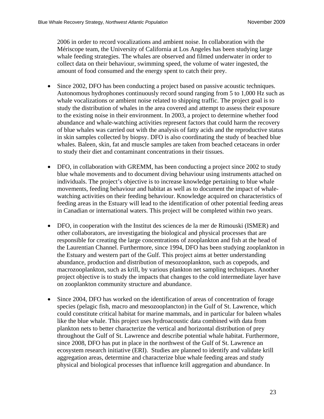2006 in order to record vocalizations and ambient noise. In collaboration with the Mériscope team, the University of California at Los Angeles has been studying large whale feeding strategies. The whales are observed and filmed underwater in order to collect data on their behaviour, swimming speed, the volume of water ingested, the amount of food consumed and the energy spent to catch their prey.

- Since 2002, DFO has been conducting a project based on passive acoustic techniques. Autonomous hydrophones continuously record sound ranging from 5 to 1,000 Hz such as whale vocalizations or ambient noise related to shipping traffic. The project goal is to study the distribution of whales in the area covered and attempt to assess their exposure to the existing noise in their environment. In 2003, a project to determine whether food abundance and whale-watching activities represent factors that could harm the recovery of blue whales was carried out with the analysis of fatty acids and the reproductive status in skin samples collected by biopsy. DFO is also coordinating the study of beached blue whales. Baleen, skin, fat and muscle samples are taken from beached cetaceans in order to study their diet and contaminant concentrations in their tissues.
- DFO, in collaboration with GREMM, has been conducting a project since 2002 to study blue whale movements and to document diving behaviour using instruments attached on individuals. The project's objective is to increase knowledge pertaining to blue whale movements, feeding behaviour and habitat as well as to document the impact of whalewatching activities on their feeding behaviour. Knowledge acquired on characteristics of feeding areas in the Estuary will lead to the identification of other potential feeding areas in Canadian or international waters. This project will be completed within two years.
- DFO, in cooperation with the Institut des sciences de la mer de Rimouski (ISMER) and other collaborators, are investigating the biological and physical processes that are responsible for creating the large concentrations of zooplankton and fish at the head of the Laurentian Channel. Furthermore, since 1994, DFO has been studying zooplankton in the Estuary and western part of the Gulf. This project aims at better understanding abundance, production and distribution of mesozooplankton, such as copepods, and macrozooplankton, such as krill, by various plankton net sampling techniques. Another project objective is to study the impacts that changes to the cold intermediate layer have on zooplankton community structure and abundance.
- Since 2004, DFO has worked on the identification of areas of concentration of forage species (pelagic fish, macro and mesozooplancton) in the Gulf of St. Lawrence, which could constitute critical habitat for marine mammals, and in particular for baleen whales like the blue whale. This project uses hydroacoustic data combined with data from plankton nets to better characterize the vertical and horizontal distribution of prey throughout the Gulf of St. Lawrence and describe potential whale habitat. Furthermore, since 2008, DFO has put in place in the northwest of the Gulf of St. Lawrence an ecosystem research initiative (ERI). Studies are planned to identify and validate krill aggregation areas, determine and characterize blue whale feeding areas and study physical and biological processes that influence krill aggregation and abundance. In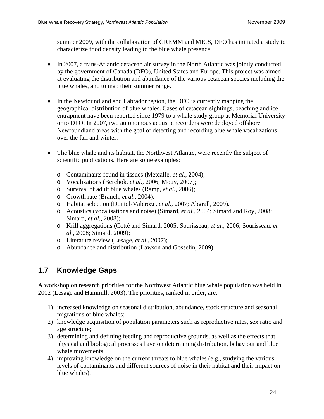summer 2009, with the collaboration of GREMM and MICS, DFO has initiated a study to characterize food density leading to the blue whale presence.

- In 2007, a trans-Atlantic cetacean air survey in the North Atlantic was jointly conducted by the government of Canada (DFO), United States and Europe. This project was aimed at evaluating the distribution and abundance of the various cetacean species including the blue whales, and to map their summer range.
- In the Newfoundland and Labrador region, the DFO is currently mapping the geographical distribution of blue whales. Cases of cetacean sightings, beaching and ice entrapment have been reported since 1979 to a whale study group at Memorial University or to DFO. In 2007, two autonomous acoustic recorders were deployed offshore Newfoundland areas with the goal of detecting and recording blue whale vocalizations over the fall and winter.
- The blue whale and its habitat, the Northwest Atlantic, were recently the subject of scientific publications. Here are some examples:
	- o Contaminants found in tissues (Metcalfe*, et al.*, 2004);
	- o Vocalizations (Berchok*, et al.*, 2006; Mouy, 2007);
	- o Survival of adult blue whales (Ramp*, et al.*, 2006);
	- o Growth rate (Branch*, et al.*, 2004);
	- o Habitat selection (Doniol-Valcroze*, et al.*, 2007; Abgrall, 2009).
	- o Acoustics (vocalisations and noise) (Simard*, et al.*, 2004; Simard and Roy, 2008; Simard*, et al.*, 2008);
	- o Krill aggregations (Cotté and Simard, 2005; Sourisseau*, et al.*, 2006; Sourisseau*, et al.*, 2008; Simard, 2009);
	- o Literature review (Lesage*, et al.*, 2007);
	- o Abundance and distribution (Lawson and Gosselin, 2009).

# <span id="page-33-0"></span>**1.7 Knowledge Gaps**

A workshop on research priorities for the Northwest Atlantic blue whale population was held in 2002 (Lesage and Hammill, 2003). The priorities, ranked in order, are:

- 1) increased knowledge on seasonal distribution, abundance, stock structure and seasonal migrations of blue whales;
- 2) knowledge acquisition of population parameters such as reproductive rates, sex ratio and age structure;
- 3) determining and defining feeding and reproductive grounds, as well as the effects that physical and biological processes have on determining distribution, behaviour and blue whale movements;
- 4) improving knowledge on the current threats to blue whales (e.g., studying the various levels of contaminants and different sources of noise in their habitat and their impact on blue whales).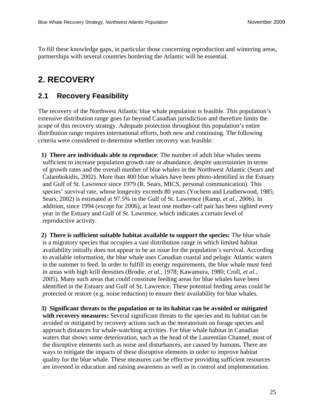To fill these knowledge gaps, in particular those concerning reproduction and wintering areas, partnerships with several countries bordering the Atlantic will be essential.

# <span id="page-34-0"></span>**2. RECOVERY**

### <span id="page-34-1"></span>**2.1 Recovery Feasibility**

The recovery of the Northwest Atlantic blue whale population is feasible. This population's extensive distribution range goes far beyond Canadian jurisdiction and therefore limits the scope of this recovery strategy. Adequate protection throughout this population's entire distribution range requires international efforts, both new and continuing. The following criteria were considered to determine whether recovery was feasible:

**1) There are individuals able to reproduce**: The number of adult blue whales seems sufficient to increase population growth rate or abundance, despite uncertainties in terms of growth rates and the overall number of blue whales in the Northwest Atlantic (Sears and Calambokidis, 2002). More than 400 blue whales have been photo-identified in the Estuary and Gulf of St. Lawrence since 1979 (R. Sears, MICS, personal communication). This species' survival rate, whose longevity exceeds 80 years (Yochem and Leatherwood, 1985; Sears, 2002) is estimated at 97.5% in the Gulf of St. Lawrence (Ramp*, et al.*, 2006). In addition, since 1994 (except for 2006), at least one mother-calf pair has been sighted every year in the Estuary and Gulf of St. Lawrence, which indicates a certain level of reproductive activity.

**2) There is sufficient suitable habitat available to support the species:** The blue whale is a migratory species that occupies a vast distribution range in which limited habitat availability initially does not appear to be an issue for the population's survival. According to available information, the blue whale uses Canadian coastal and pelagic Atlantic waters in the summer to feed. In order to fulfill its energy requirements, the blue whale must feed in areas with high krill densities (Brodie*, et al.*, 1978; Kawamura, 1980; Croll*, et al.*, 2005). Many such areas that could constitute feeding areas for blue whales have been identified in the Estuary and Gulf of St. Lawrence. These potential feeding areas could be protected or restore (e.g. noise reduction) to ensure their availability for blue whales.

**3) Significant threats to the population or to its habitat can be avoided or mitigated with recovery measures:** Several significant threats to the species and its habitat can be avoided or mitigated by recovery actions such as the moratorium on forage species and approach distances for whale-watching activities. For blue whale habitat in Canadian waters that shows some deterioration, such as the head of the Laurentian Channel, most of the disruptive elements such as noise and disturbances, are caused by humans. There are ways to mitigate the impacts of these disruptive elements in order to improve habitat quality for the blue whale. These measures can be effective providing sufficient resources are invested in education and raising awareness as well as in control and implementation.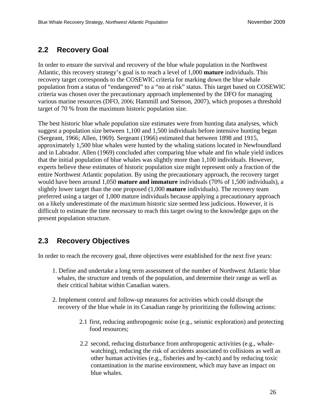## <span id="page-35-0"></span>**2.2 Recovery Goal**

In order to ensure the survival and recovery of the blue whale population in the Northwest Atlantic, this recovery strategy's goal is to reach a level of 1,000 **mature** individuals. This recovery target corresponds to the COSEWIC criteria for marking down the blue whale population from a status of "endangered" to a "no at risk" status. This target based on COSEWIC criteria was chosen over the precautionary approach implemented by the DFO for managing various marine resources (DFO, 2006; Hammill and Stenson, 2007), which proposes a threshold target of 70 % from the maximum historic population size.

The best historic blue whale population size estimates were from hunting data analyses, which suggest a population size between 1,100 and 1,500 individuals before intensive hunting began (Sergeant, 1966; Allen, 1969). Sergeant (1966) estimated that between 1898 and 1915, approximately 1,500 blue whales were hunted by the whaling stations located in Newfoundland and in Labrador. Allen (1969) concluded after comparing blue whale and fin whale yield indices that the initial population of blue whales was slightly more than 1,100 individuals. However, experts believe these estimates of historic population size might represent only a fraction of the entire Northwest Atlantic population. By using the precautionary approach, the recovery target would have been around 1,050 **mature and immature** individuals (70% of 1,500 individuals), a slightly lower target than the one proposed (1,000 **mature** individuals). The recovery team preferred using a target of 1,000 mature individuals because applying a precautionary approach on a likely underestimate of the maximum historic size seemed less judicious. However, it is difficult to estimate the time necessary to reach this target owing to the knowledge gaps on the present population structure.

# <span id="page-35-1"></span>**2.3 Recovery Objectives**

In order to reach the recovery goal, three objectives were established for the next five years:

- 1. Define and undertake a long term assessment of the number of Northwest Atlantic blue whales, the structure and trends of the population, and determine their range as well as their critical habitat within Canadian waters.
- 2. Implement control and follow-up measures for activities which could disrupt the recovery of the blue whale in its Canadian range by prioritizing the following actions:
	- 2.1 first, reducing anthropogenic noise (e.g., seismic exploration) and protecting food resources;
	- 2.2 second, reducing disturbance from anthropogenic activities (e.g., whalewatching), reducing the risk of accidents associated to collisions as well as other human activities (e.g., fisheries and by-catch) and by reducing toxic contamination in the marine environment, which may have an impact on blue whales.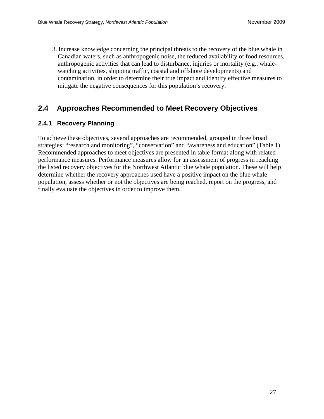3. Increase knowledge concerning the principal threats to the recovery of the blue whale in Canadian waters, such as anthropogenic noise, the reduced availability of food resources, anthropogenic activities that can lead to disturbance, injuries or mortality (e.g., whalewatching activities, shipping traffic, coastal and offshore developments) and contamination, in order to determine their true impact and identify effective measures to mitigate the negative consequences for this population's recovery.

### <span id="page-36-0"></span>**2.4 Approaches Recommended to Meet Recovery Objectives**

#### <span id="page-36-1"></span>**2.4.1 Recovery Planning**

To achieve these objectives, several approaches are recommended, grouped in three broad strategies: "research and monitoring", "conservation" and "awareness and education" (Table 1). Recommended approaches to meet objectives are presented in table format along with related performance measures. Performance measures allow for an assessment of progress in reaching the listed recovery objectives for the Northwest Atlantic blue whale population. These will help determine whether the recovery approaches used have a positive impact on the blue whale population, assess whether or not the objectives are being reached, report on the progress, and finally evaluate the objectives in order to improve them.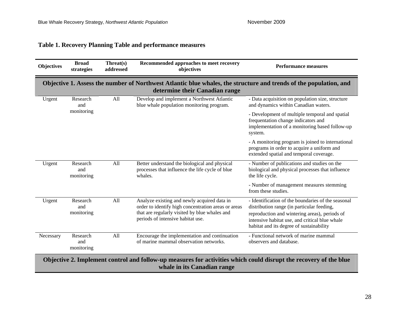### **Table 1. Recovery Planning Table and performance measures**

<span id="page-37-0"></span>

| <b>Objectives</b>                                                                                                                                | <b>Broad</b><br>strategies                                                                                                                          | Threat(s)<br>addressed | Recommended approaches to meet recovery<br>objectives                                                                                                                                    | <b>Performance measures</b>                                                                                                                                                                                                                     |  |  |
|--------------------------------------------------------------------------------------------------------------------------------------------------|-----------------------------------------------------------------------------------------------------------------------------------------------------|------------------------|------------------------------------------------------------------------------------------------------------------------------------------------------------------------------------------|-------------------------------------------------------------------------------------------------------------------------------------------------------------------------------------------------------------------------------------------------|--|--|
|                                                                                                                                                  | Objective 1. Assess the number of Northwest Atlantic blue whales, the structure and trends of the population, and<br>determine their Canadian range |                        |                                                                                                                                                                                          |                                                                                                                                                                                                                                                 |  |  |
| Urgent                                                                                                                                           | Research<br>and                                                                                                                                     | All                    | Develop and implement a Northwest Atlantic<br>blue whale population monitoring program.                                                                                                  | - Data acquisition on population size, structure<br>and dynamics within Canadian waters.                                                                                                                                                        |  |  |
|                                                                                                                                                  | monitoring                                                                                                                                          |                        |                                                                                                                                                                                          | - Development of multiple temporal and spatial<br>frequentation change indicators and<br>implementation of a monitoring based follow-up<br>system.                                                                                              |  |  |
|                                                                                                                                                  |                                                                                                                                                     |                        |                                                                                                                                                                                          | - A monitoring program is joined to international<br>programs in order to acquire a uniform and<br>extended spatial and temporal coverage.                                                                                                      |  |  |
| Urgent                                                                                                                                           | Research<br>and<br>monitoring                                                                                                                       | All                    | Better understand the biological and physical<br>processes that influence the life cycle of blue<br>whales.                                                                              | - Number of publications and studies on the<br>biological and physical processes that influence<br>the life cycle.                                                                                                                              |  |  |
|                                                                                                                                                  |                                                                                                                                                     |                        |                                                                                                                                                                                          | - Number of management measures stemming<br>from these studies.                                                                                                                                                                                 |  |  |
| Urgent                                                                                                                                           | Research<br>and<br>monitoring                                                                                                                       | All                    | Analyze existing and newly acquired data in<br>order to identify high concentration areas or areas<br>that are regularly visited by blue whales and<br>periods of intensive habitat use. | - Identification of the boundaries of the seasonal<br>distribution range (in particular feeding,<br>reproduction and wintering areas), periods of<br>intensive habitat use, and critical blue whale<br>habitat and its degree of sustainability |  |  |
| Necessary                                                                                                                                        | Research<br>and<br>monitoring                                                                                                                       | All                    | Encourage the implementation and continuation<br>of marine mammal observation networks.                                                                                                  | - Functional network of marine mammal<br>observers and database.                                                                                                                                                                                |  |  |
| Objective 2. Implement control and follow-up measures for activities which could disrupt the recovery of the blue<br>whale in its Canadian range |                                                                                                                                                     |                        |                                                                                                                                                                                          |                                                                                                                                                                                                                                                 |  |  |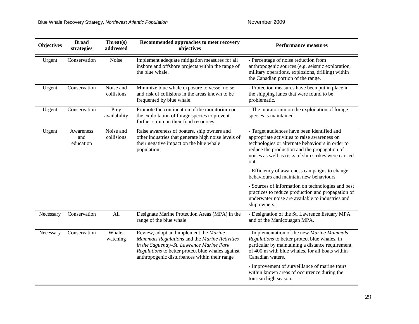| <b>Objectives</b> | <b>Broad</b><br>strategies    | Threat(s)<br>addressed  | Recommended approaches to meet recovery<br>objectives                                                                                                                                                                                     | Performance measures                                                                                                                                                                                                                                            |  |
|-------------------|-------------------------------|-------------------------|-------------------------------------------------------------------------------------------------------------------------------------------------------------------------------------------------------------------------------------------|-----------------------------------------------------------------------------------------------------------------------------------------------------------------------------------------------------------------------------------------------------------------|--|
| Urgent            | Conservation                  | Noise                   | Implement adequate mitigation measures for all<br>inshore and offshore projects within the range of<br>the blue whale.                                                                                                                    | - Percentage of noise reduction from<br>anthropogenic sources (e.g. seismic exploration,<br>military operations, explosions, drilling) within<br>the Canadian portion of the range.                                                                             |  |
| Urgent            | Conservation                  | Noise and<br>collisions | Minimize blue whale exposure to vessel noise<br>and risk of collisions in the areas known to be<br>frequented by blue whale.                                                                                                              | - Protection measures have been put in place in<br>the shipping lanes that were found to be<br>problematic.                                                                                                                                                     |  |
| Urgent            | Conservation                  | Prey<br>availability    | Promote the continuation of the moratorium on<br>the exploitation of forage species to prevent<br>further strain on their food resources.                                                                                                 | - The moratorium on the exploitation of forage<br>species is maintained.                                                                                                                                                                                        |  |
| Urgent            | Awareness<br>and<br>education | Noise and<br>collisions | Raise awareness of boaters, ship owners and<br>other industries that generate high noise levels of<br>their negative impact on the blue whale<br>population.                                                                              | - Target audiences have been identified and<br>appropriate activities to raise awareness on<br>technologies or alternate behaviours in order to<br>reduce the production and the propagation of<br>noises as well as risks of ship strikes were carried<br>out. |  |
|                   |                               |                         |                                                                                                                                                                                                                                           | - Efficiency of awareness campaigns to change<br>behaviours and maintain new behaviours.                                                                                                                                                                        |  |
|                   |                               |                         |                                                                                                                                                                                                                                           | - Sources of information on technologies and best<br>practices to reduce production and propagation of<br>underwater noise are available to industries and<br>ship owners.                                                                                      |  |
| Necessary         | Conservation                  | All                     | Designate Marine Protection Areas (MPA) in the<br>range of the blue whale                                                                                                                                                                 | - Designation of the St. Lawrence Estuary MPA<br>and of the Manicouagan MPA.                                                                                                                                                                                    |  |
| Necessary         | Conservation                  | Whale-<br>watching      | Review, adopt and implement the Marine<br>Mammals Regulations and the Marine Activities<br>in the Saguenay-St. Lawrence Marine Park<br>Regulations to better protect blue whales against<br>anthropogenic disturbances within their range | - Implementation of the new Marine Mammals<br>Regulations to better protect blue whales, in<br>particular by maintaining a distance requirement<br>of 400 m with blue whales, for all boats within<br>Canadian waters.                                          |  |
|                   |                               |                         |                                                                                                                                                                                                                                           | - Improvement of surveillance of marine tours<br>within known areas of occurrence during the<br>tourism high season.                                                                                                                                            |  |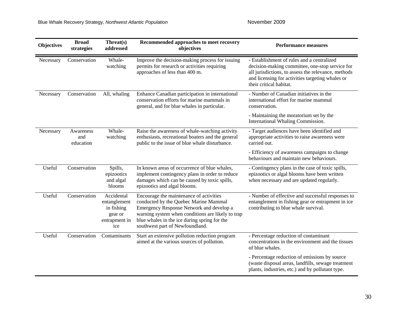| <b>Objectives</b> | <b>Broad</b><br>strategies    | Threat(s)<br>addressed                                                      | Recommended approaches to meet recovery<br>objectives                                                                                                                                                                                                                | <b>Performance measures</b>                                                                                                                                                                                                         |  |
|-------------------|-------------------------------|-----------------------------------------------------------------------------|----------------------------------------------------------------------------------------------------------------------------------------------------------------------------------------------------------------------------------------------------------------------|-------------------------------------------------------------------------------------------------------------------------------------------------------------------------------------------------------------------------------------|--|
| Necessary         | Conservation                  | Whale-<br>watching                                                          | Improve the decision-making process for issuing<br>permits for research or activities requiring<br>approaches of less than 400 m.                                                                                                                                    | - Establishment of rules and a centralized<br>decision-making committee, one-stop service for<br>all jurisdictions, to assess the relevance, methods<br>and licensing for activities targeting whales or<br>their critical habitat. |  |
| Necessary         | Conservation                  | All, whaling                                                                | Enhance Canadian participation in international<br>conservation efforts for marine mammals in<br>general, and for blue whales in particular.                                                                                                                         | - Number of Canadian initiatives in the<br>international effort for marine mammal<br>conservation.                                                                                                                                  |  |
|                   |                               |                                                                             |                                                                                                                                                                                                                                                                      | - Maintaining the moratorium set by the<br>International Whaling Commission.                                                                                                                                                        |  |
| Necessary         | Awareness<br>and<br>education | Whale-<br>watching                                                          | Raise the awareness of whale-watching activity<br>enthusiasts, recreational boaters and the general<br>public to the issue of blue whale disturbance.                                                                                                                | - Target audiences have been identified and<br>appropriate activities to raise awareness were<br>carried out.                                                                                                                       |  |
|                   |                               |                                                                             |                                                                                                                                                                                                                                                                      | - Efficiency of awareness campaigns to change<br>behaviours and maintain new behaviours.                                                                                                                                            |  |
| Useful            | Conservation                  | Spills,<br>epizootics<br>and algal<br>blooms                                | In known areas of occurrence of blue whales,<br>implement contingency plans in order to reduce<br>damages which can be caused by toxic spills,<br>epizootics and algal blooms.                                                                                       | - Contingency plans in the case of toxic spills,<br>epizootics or algal blooms have been written<br>when necessary and are updated regularly.                                                                                       |  |
| Useful            | Conservation                  | Accidental<br>entanglement<br>in fishing<br>gear or<br>entrapment in<br>ice | Encourage the maintenance of activities<br>conducted by the Quebec Marine Mammal<br>Emergency Response Network and develop a<br>warning system when conditions are likely to trap<br>blue whales in the ice during spring for the<br>southwest part of Newfoundland. | - Number of effective and successful responses to<br>entanglement in fishing gear or entrapment in ice<br>contributing to blue whale survival.                                                                                      |  |
| Useful            | Conservation                  | Contaminants                                                                | Start an extensive pollution reduction program<br>aimed at the various sources of pollution.                                                                                                                                                                         | - Percentage reduction of contaminant<br>concentrations in the environment and the tissues<br>of blue whales.                                                                                                                       |  |
|                   |                               |                                                                             |                                                                                                                                                                                                                                                                      | - Percentage reduction of emissions by source<br>(waste disposal areas, landfills, sewage treatment<br>plants, industries, etc.) and by pollutant type.                                                                             |  |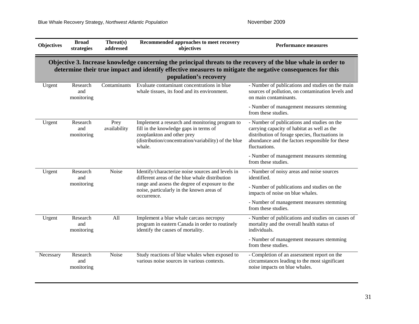| <b>Objectives</b>                                                                                                                                                                                                                                     | <b>Broad</b><br>strategies    | Threat(s)<br>addressed | Recommended approaches to meet recovery<br>objectives                                                                                                                                    | <b>Performance measures</b>                                                                                                                                                                                       |  |
|-------------------------------------------------------------------------------------------------------------------------------------------------------------------------------------------------------------------------------------------------------|-------------------------------|------------------------|------------------------------------------------------------------------------------------------------------------------------------------------------------------------------------------|-------------------------------------------------------------------------------------------------------------------------------------------------------------------------------------------------------------------|--|
| Objective 3. Increase knowledge concerning the principal threats to the recovery of the blue whale in order to<br>determine their true impact and identify effective measures to mitigate the negative consequences for this<br>population's recovery |                               |                        |                                                                                                                                                                                          |                                                                                                                                                                                                                   |  |
| Urgent                                                                                                                                                                                                                                                | Research<br>and<br>monitoring | Contaminants           | Evaluate contaminant concentrations in blue<br>whale tissues, its food and its environment.                                                                                              | - Number of publications and studies on the main<br>sources of pollution, on contamination levels and<br>on main contaminants.                                                                                    |  |
|                                                                                                                                                                                                                                                       |                               |                        |                                                                                                                                                                                          | - Number of management measures stemming<br>from these studies.                                                                                                                                                   |  |
| Urgent                                                                                                                                                                                                                                                | Research<br>and<br>monitoring | Prey<br>availability   | Implement a research and monitoring program to<br>fill in the knowledge gaps in terms of<br>zooplankton and other prey<br>(distribution/concentration/variability) of the blue<br>whale. | - Number of publications and studies on the<br>carrying capacity of habitat as well as the<br>distribution of forage species, fluctuations in<br>abundance and the factors responsible for these<br>fluctuations. |  |
|                                                                                                                                                                                                                                                       |                               |                        |                                                                                                                                                                                          | - Number of management measures stemming<br>from these studies.                                                                                                                                                   |  |
| Urgent                                                                                                                                                                                                                                                | Research<br>and               | Noise                  | Identify/characterize noise sources and levels in<br>different areas of the blue whale distribution                                                                                      | - Number of noisy areas and noise sources<br>identified.                                                                                                                                                          |  |
|                                                                                                                                                                                                                                                       | monitoring                    |                        | range and assess the degree of exposure to the<br>noise, particularly in the known areas of<br>occurrence.                                                                               | - Number of publications and studies on the<br>impacts of noise on blue whales.                                                                                                                                   |  |
|                                                                                                                                                                                                                                                       |                               |                        |                                                                                                                                                                                          | - Number of management measures stemming<br>from these studies.                                                                                                                                                   |  |
| Urgent                                                                                                                                                                                                                                                | Research<br>and<br>monitoring | All                    | Implement a blue whale carcass necropsy<br>program in eastern Canada in order to routinely<br>identify the causes of mortality.                                                          | - Number of publications and studies on causes of<br>mortality and the overall health status of<br>individuals.                                                                                                   |  |
|                                                                                                                                                                                                                                                       |                               |                        |                                                                                                                                                                                          | - Number of management measures stemming<br>from these studies.                                                                                                                                                   |  |
| Necessary                                                                                                                                                                                                                                             | Research<br>and<br>monitoring | Noise                  | Study reactions of blue whales when exposed to<br>various noise sources in various contexts.                                                                                             | - Completion of an assessment report on the<br>circumstances leading to the most significant<br>noise impacts on blue whales.                                                                                     |  |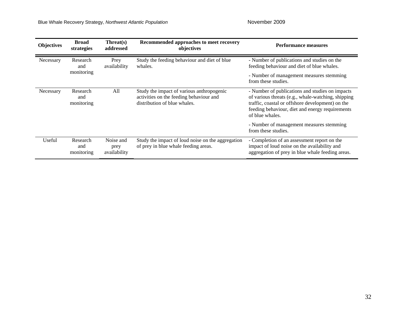Blue Whale Recovery Strategy, Northwest Atlantic Population November 2009

| <b>Objectives</b> | <b>Broad</b><br>strategies                                                                         | $Thread(s)$<br>addressed          | Recommended approaches to meet recovery<br>objectives                                                                | Performance measures                                                                                                                                                                                                                                                                               |  |
|-------------------|----------------------------------------------------------------------------------------------------|-----------------------------------|----------------------------------------------------------------------------------------------------------------------|----------------------------------------------------------------------------------------------------------------------------------------------------------------------------------------------------------------------------------------------------------------------------------------------------|--|
| Necessary         | Study the feeding behaviour and diet of blue<br>Research<br>Prey<br>availability<br>whales.<br>and |                                   | - Number of publications and studies on the<br>feeding behaviour and diet of blue whales.                            |                                                                                                                                                                                                                                                                                                    |  |
|                   | monitoring                                                                                         |                                   |                                                                                                                      | - Number of management measures stemming<br>from these studies.                                                                                                                                                                                                                                    |  |
| Necessary         | Research<br>and<br>monitoring                                                                      | All                               | Study the impact of various anthropogenic<br>activities on the feeding behaviour and<br>distribution of blue whales. | - Number of publications and studies on impacts<br>of various threats (e.g., whale-watching, shipping<br>traffic, coastal or offshore development) on the<br>feeding behaviour, diet and energy requirements<br>of blue whales.<br>- Number of management measures stemming<br>from these studies. |  |
| Useful            | Research<br>and<br>monitoring                                                                      | Noise and<br>prey<br>availability | Study the impact of loud noise on the aggregation<br>of prey in blue whale feeding areas.                            | - Completion of an assessment report on the<br>impact of loud noise on the availability and<br>aggregation of prey in blue whale feeding areas.                                                                                                                                                    |  |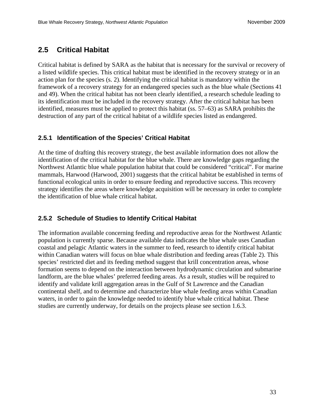### <span id="page-42-0"></span>**2.5 Critical Habitat**

Critical habitat is defined by SARA as the habitat that is necessary for the survival or recovery of a listed wildlife species. This critical habitat must be identified in the recovery strategy or in an action plan for the species (s. 2). Identifying the critical habitat is mandatory within the framework of a recovery strategy for an endangered species such as the blue whale (Sections 41 and 49). When the critical habitat has not been clearly identified, a research schedule leading to its identification must be included in the recovery strategy. After the critical habitat has been identified, measures must be applied to protect this habitat (ss. 57–63) as SARA prohibits the destruction of any part of the critical habitat of a wildlife species listed as endangered.

#### <span id="page-42-1"></span>**2.5.1 Identification of the Species' Critical Habitat**

At the time of drafting this recovery strategy, the best available information does not allow the identification of the critical habitat for the blue whale. There are knowledge gaps regarding the Northwest Atlantic blue whale population habitat that could be considered "critical". For marine mammals, Harwood (Harwood, 2001) suggests that the critical habitat be established in terms of functional ecological units in order to ensure feeding and reproductive success. This recovery strategy identifies the areas where knowledge acquisition will be necessary in order to complete the identification of blue whale critical habitat.

### <span id="page-42-2"></span>**2.5.2 Schedule of Studies to Identify Critical Habitat**

The information available concerning feeding and reproductive areas for the Northwest Atlantic population is currently sparse. Because available data indicates the blue whale uses Canadian coastal and pelagic Atlantic waters in the summer to feed, research to identify critical habitat within Canadian waters will focus on blue whale distribution and feeding areas (Table 2). This species' restricted diet and its feeding method suggest that krill concentration areas, whose formation seems to depend on the interaction between hydrodynamic circulation and submarine landform, are the blue whales' preferred feeding areas. As a result, studies will be required to identify and validate krill aggregation areas in the Gulf of St Lawrence and the Canadian continental shelf, and to determine and characterize blue whale feeding areas within Canadian waters, in order to gain the knowledge needed to identify blue whale critical habitat. These studies are currently underway, for details on the projects please see section 1.6.3.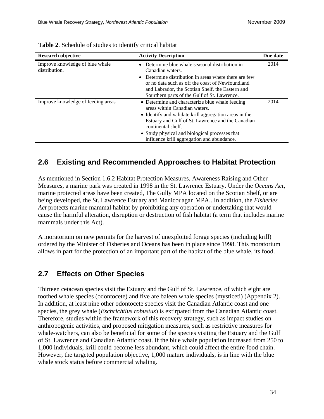<span id="page-43-2"></span>

| <b>Research objective</b>                        | <b>Activity Description</b>                                                                                                                                                                                                                                                                                           | Due date |
|--------------------------------------------------|-----------------------------------------------------------------------------------------------------------------------------------------------------------------------------------------------------------------------------------------------------------------------------------------------------------------------|----------|
| Improve knowledge of blue whale<br>distribution. | Determine blue whale seasonal distribution in<br>Canadian waters.<br>• Determine distribution in areas where there are few<br>or no data such as off the coast of Newfoundland<br>and Labrador, the Scotian Shelf, the Eastern and<br>Sourthern parts of the Gulf of St. Lawrence.                                    | 2014     |
| Improve knowledge of feeding areas               | • Determine and characterize blue whale feeding<br>areas within Canadian waters.<br>• Identify and validate krill aggregation areas in the<br>Estuary and Gulf of St. Lawrence and the Canadian<br>continental shelf.<br>• Study physical and biological processes that<br>influence krill aggregation and abundance. | 2014     |

**Table 2**. Schedule of studies to identify critical habitat

### <span id="page-43-0"></span>**2.6 Existing and Recommended Approaches to Habitat Protection**

As mentioned in Section 1.6.2 Habitat Protection Measures, Awareness Raising and Other Measures, a marine park was created in 1998 in the St. Lawrence Estuary. Under the *Oceans Act*, marine protected areas have been created, The Gully MPA located on the Scotian Shelf, or are being developed, the St. Lawrence Estuary and Manicouagan MPA,. In addition, the *Fisheries Act* protects marine mammal habitat by prohibiting any operation or undertaking that would cause the harmful alteration, disruption or destruction of fish habitat (a term that includes marine mammals under this Act).

A moratorium on new permits for the harvest of unexploited forage species (including krill) ordered by the Minister of Fisheries and Oceans has been in place since 1998. This moratorium allows in part for the protection of an important part of the habitat of the blue whale, its food.

### <span id="page-43-1"></span>**2.7 Effects on Other Species**

Thirteen cetacean species visit the Estuary and the Gulf of St. Lawrence, of which eight are toothed whale species (odontocete) and five are baleen whale species (mysticeti) (Appendix 2). In addition, at least nine other odontocete species visit the Canadian Atlantic coast and one species, the grey whale (*Eschrichtius robustus*) is extirpated from the Canadian Atlantic coast. Therefore, studies within the framework of this recovery strategy, such as impact studies on anthropogenic activities, and proposed mitigation measures, such as restrictive measures for whale-watchers, can also be beneficial for some of the species visiting the Estuary and the Gulf of St. Lawrence and Canadian Atlantic coast. If the blue whale population increased from 250 to 1,000 individuals, krill could become less abundant, which could affect the entire food chain. However, the targeted population objective, 1,000 mature individuals, is in line with the blue whale stock status before commercial whaling.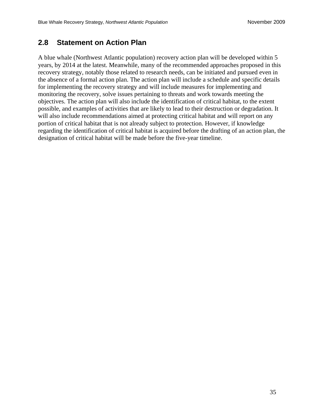### <span id="page-44-0"></span>**2.8 Statement on Action Plan**

A blue whale (Northwest Atlantic population) recovery action plan will be developed within 5 years, by 2014 at the latest. Meanwhile, many of the recommended approaches proposed in this recovery strategy, notably those related to research needs, can be initiated and pursued even in the absence of a formal action plan. The action plan will include a schedule and specific details for implementing the recovery strategy and will include measures for implementing and monitoring the recovery, solve issues pertaining to threats and work towards meeting the objectives. The action plan will also include the identification of critical habitat, to the extent possible, and examples of activities that are likely to lead to their destruction or degradation. It will also include recommendations aimed at protecting critical habitat and will report on any portion of critical habitat that is not already subject to protection. However, if knowledge regarding the identification of critical habitat is acquired before the drafting of an action plan, the designation of critical habitat will be made before the five-year timeline.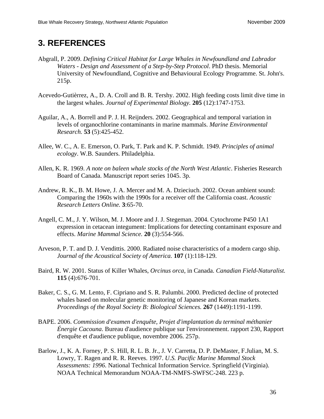# <span id="page-45-0"></span>**3. REFERENCES**

- Abgrall, P. 2009. *Defining Critical Habitat for Large Whales in Newfoundland and Labrador Waters - Design and Assessment of a Step-by-Step Protocol*. PhD thesis. Memorial University of Newfoundland, Cognitive and Behavioural Ecology Programme. St. John's. 215p.
- Acevedo-Gutièrrez, A., D. A. Croll and B. R. Tershy. 2002. High feeding costs limit dive time in the largest whales. *Journal of Experimental Biology.* **205** (12):1747-1753.
- Aguilar, A., A. Borrell and P. J. H. Reijnders. 2002. Geographical and temporal variation in levels of organochlorine contaminants in marine mammals. *Marine Environmental Research.* **53** (5):425-452.
- Allee, W. C., A. E. Emerson, O. Park, T. Park and K. P. Schmidt. 1949. *Principles of animal ecology*. W.B. Saunders. Philadelphia.
- Allen, K. R. 1969. *A note on baleen whale stocks of the North West Atlantic*. Fisheries Research Board of Canada. Manuscript report series 1045. 3p.
- Andrew, R. K., B. M. Howe, J. A. Mercer and M. A. Dzieciuch. 2002. Ocean ambient sound: Comparing the 1960s with the 1990s for a receiver off the California coast. *Acoustic Research Letters Online.* **3**:65-70.
- Angell, C. M., J. Y. Wilson, M. J. Moore and J. J. Stegeman. 2004. Cytochrome P450 1A1 expression in cetacean integument: Implications for detecting contaminant exposure and effects. *Marine Mammal Science.* **20** (3):554-566.
- Arveson, P. T. and D. J. Vendittis. 2000. Radiated noise characteristics of a modern cargo ship. *Journal of the Acoustical Society of America.* **107** (1):118-129.
- Baird, R. W. 2001. Status of Killer Whales, *Orcinus orca*, in Canada. *Canadian Field-Naturalist.* **115** (4):676-701.
- Baker, C. S., G. M. Lento, F. Cipriano and S. R. Palumbi. 2000. Predicted decline of protected whales based on molecular genetic monitoring of Japanese and Korean markets. *Proceedings of the Royal Society B: Biological Sciences.* **267** (1449):1191-1199.
- BAPE. 2006. *Commission d'examen d'enquête, Projet d'implantation du terminal méthanier Énergie Cacouna*. Bureau d'audience publique sur l'environnement. rapport 230, Rapport d'enquête et d'audience publique, novembre 2006. 257p.
- Barlow, J., K. A. Forney, P. S. Hill, R. L. B. Jr., J. V. Carretta, D. P. DeMaster, F.Julian, M. S. Lowry, T. Ragen and R. R. Reeves. 1997. *U.S. Pacific Marine Mammal Stock Assessments: 1996*. National Technical Information Service. Springfield (Virginia). NOAA Technical Memorandum NOAA-TM-NMFS-SWFSC-248. 223 p.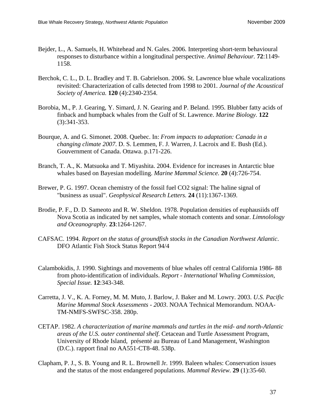- Bejder, L., A. Samuels, H. Whitehead and N. Gales. 2006. Interpreting short-term behavioural responses to disturbance within a longitudinal perspective. *Animal Behaviour.* **72**:1149- 1158.
- Berchok, C. L., D. L. Bradley and T. B. Gabrielson. 2006. St. Lawrence blue whale vocalizations revisited: Characterization of calls detected from 1998 to 2001. *Journal of the Acoustical Society of America.* **120** (4):2340-2354.
- Borobia, M., P. J. Gearing, Y. Simard, J. N. Gearing and P. Beland. 1995. Blubber fatty acids of finback and humpback whales from the Gulf of St. Lawrence. *Marine Biology.* **122** (3):341-353.
- Bourque, A. and G. Simonet. 2008. Quebec. In: *From impacts to adaptation: Canada in a changing climate 2007*. D. S. Lemmen, F. J. Warren, J. Lacroix and E. Bush (Ed.). Gouvernment of Canada. Ottawa. p.171-226.
- Branch, T. A., K. Matsuoka and T. Miyashita. 2004. Evidence for increases in Antarctic blue whales based on Bayesian modelling. *Marine Mammal Science.* **20** (4):726-754.
- Brewer, P. G. 1997. Ocean chemistry of the fossil fuel CO2 signal: The haline signal of "business as usual". *Geophysical Research Letters.* **24** (11):1367-1369.
- Brodie, P. F., D. D. Sameoto and R. W. Sheldon. 1978. Population densities of euphausiids off Nova Scotia as indicated by net samples, whale stomach contents and sonar. *Limnolology and Oceanography.* **23**:1264-1267.
- CAFSAC. 1994. *Report on the status of groundfish stocks in the Canadian Northwest Atlantic*. DFO Atlantic Fish Stock Status Report 94/4
- Calambokidis, J. 1990. Sightings and movements of blue whales off central California 1986- 88 from photo-identification of individuals. *Report - International Whaling Commission, Special Issue.* **12**:343-348.
- Carretta, J. V., K. A. Forney, M. M. Muto, J. Barlow, J. Baker and M. Lowry. 2003. *U.S. Pacific Marine Mammal Stock Assessments - 2003*. NOAA Technical Memorandum. NOAA-TM-NMFS-SWFSC-358. 280p.
- CETAP. 1982. *A characterization of marine mammals and turtles in the mid- and north-Atlantic areas of the U.S. outer continental shelf*. Cetacean and Turtle Assessment Program, University of Rhode Island, présenté au Bureau of Land Management, Washington (D.C.). rapport final no AA551-CT8-48. 538p.
- Clapham, P. J., S. B. Young and R. L. Brownell Jr. 1999. Baleen whales: Conservation issues and the status of the most endangered populations. *Mammal Review.* **29** (1):35-60.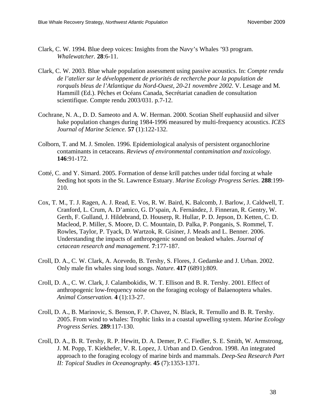- Clark, C. W. 1994. Blue deep voices: Insights from the Navy's Whales '93 program. *Whalewatcher.* **28**:6-11.
- Clark, C. W. 2003. Blue whale population assessment using passive acoustics. In: *Compte rendu de l'atelier sur le développement de priorités de recherche pour la population de rorquals bleus de l'Atlantique du Nord-Ouest, 20-21 novembre 2002*. V. Lesage and M. Hammill (Ed.). Pêches et Océans Canada, Secrétariat canadien de consultation scientifique. Compte rendu 2003/031. p.7-12.
- Cochrane, N. A., D. D. Sameoto and A. W. Herman. 2000. Scotian Shelf euphausiid and silver hake population changes during 1984-1996 measured by multi-frequency acoustics. *ICES Journal of Marine Science.* **57** (1):122-132.
- Colborn, T. and M. J. Smolen. 1996. Epidemiological analysis of persistent organochlorine contaminants in cetaceans. *Reviews of environmental contamination and toxicology.* **146**:91-172.
- Cotté, C. and Y. Simard. 2005. Formation of dense krill patches under tidal forcing at whale feeding hot spots in the St. Lawrence Estuary. *Marine Ecology Progress Series.* **288**:199- 210.
- Cox, T. M., T. J. Ragen, A. J. Read, E. Vos, R. W. Baird, K. Balcomb, J. Barlow, J. Caldwell, T. Cranford, L. Crum, A. D'amico, G. D'spain, A. Fernández, J. Finneran, R. Gentry, W. Gerth, F. Gulland, J. Hildebrand, D. Houserp, R. Hullar, P. D. Jepson, D. Ketten, C. D. Macleod, P. Miller, S. Moore, D. C. Mountain, D. Palka, P. Ponganis, S. Rommel, T. Rowles, Taylor, P. Tyack, D. Wartzok, R. Gisiner, J. Meads and L. Benner. 2006. Understanding the impacts of anthropogenic sound on beaked whales. *Journal of cetacean research and management.* **7**:177-187.
- Croll, D. A., C. W. Clark, A. Acevedo, B. Tershy, S. Flores, J. Gedamke and J. Urban. 2002. Only male fin whales sing loud songs. *Nature.* **417** (6891):809.
- Croll, D. A., C. W. Clark, J. Calambokidis, W. T. Ellison and B. R. Tershy. 2001. Effect of anthropogenic low-frequency noise on the foraging ecology of Balaenoptera whales. *Animal Conservation.* **4** (1):13-27.
- Croll, D. A., B. Marinovic, S. Benson, F. P. Chavez, N. Black, R. Ternullo and B. R. Tershy. 2005. From wind to whales: Trophic links in a coastal upwelling system. *Marine Ecology Progress Series.* **289**:117-130.
- Croll, D. A., B. R. Tershy, R. P. Hewitt, D. A. Demer, P. C. Fiedler, S. E. Smith, W. Armstrong, J. M. Popp, T. Kiekhefer, V. R. Lopez, J. Urban and D. Gendron. 1998. An integrated approach to the foraging ecology of marine birds and mammals. *Deep-Sea Research Part II: Topical Studies in Oceanography.* **45** (7):1353-1371.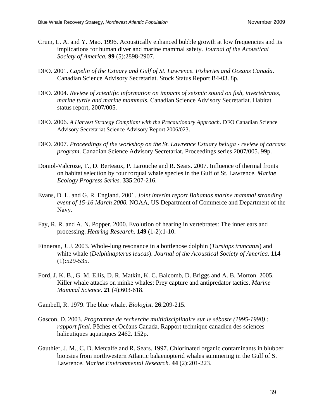- Crum, L. A. and Y. Mao. 1996. Acoustically enhanced bubble growth at low frequencies and its implications for human diver and marine mammal safety. *Journal of the Acoustical Society of America.* **99** (5):2898-2907.
- DFO. 2001. *Capelin of the Estuary and Gulf of St. Lawrence. Fisheries and Oceans Canada*. Canadian Science Advisory Secretariat. Stock Status Report B4-03. 8p.
- DFO. 2004. *Review of scientific information on impacts of seismic sound on fish, invertebrates, marine turtle and marine mammals*. Canadian Science Advisory Secretariat. Habitat status report, 2007/005.
- DFO. 2006. *A Harvest Strategy Compliant with the Precautionary Approach*. DFO Canadian Science Advisory Secretariat Science Advisory Report 2006/023.
- DFO. 2007. *Proceedings of the workshop on the St. Lawrence Estuary beluga review of carcass program*. Canadian Science Advisory Secretariat. Proceedings series 2007/005. 99p.
- Doniol-Valcroze, T., D. Berteaux, P. Larouche and R. Sears. 2007. Influence of thermal fronts on habitat selection by four rorqual whale species in the Gulf of St. Lawrence. *Marine Ecology Progress Series.* **335**:207-216.
- Evans, D. L. and G. R. England. 2001. *Joint interim report Bahamas marine mammal stranding event of 15-16 March 2000.* NOAA, US Department of Commerce and Department of the Navy.
- Fay, R. R. and A. N. Popper. 2000. Evolution of hearing in vertebrates: The inner ears and processing. *Hearing Research.* **149** (1-2):1-10.
- Finneran, J. J. 2003. Whole-lung resonance in a bottlenose dolphin (*Tursiops truncatus*) and white whale (*Delphinapterus leucas*). *Journal of the Acoustical Society of America.* **114** (1):529-535.
- Ford, J. K. B., G. M. Ellis, D. R. Matkin, K. C. Balcomb, D. Briggs and A. B. Morton. 2005. Killer whale attacks on minke whales: Prey capture and antipredator tactics. *Marine Mammal Science.* **21** (4):603-618.
- Gambell, R. 1979. The blue whale. *Biologist.* **26**:209-215.
- Gascon, D. 2003. *Programme de recherche multidisciplinaire sur le sébaste (1995-1998) : rapport final*. Pêches et Océans Canada. Rapport technique canadien des sciences halieutiques aquatiques 2462. 152p.
- Gauthier, J. M., C. D. Metcalfe and R. Sears. 1997. Chlorinated organic contaminants in blubber biopsies from northwestern Atlantic balaenopterid whales summering in the Gulf of St Lawrence. *Marine Environmental Research.* **44** (2):201-223.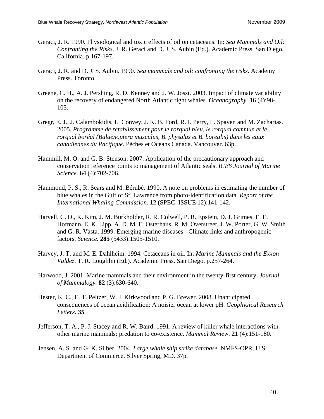- Geraci, J. R. 1990. Physiological and toxic effects of oil on cetaceans. In: *Sea Mammals and Oil: Confronting the Risks*. J. R. Geraci and D. J. S. Aubin (Ed.). Academic Press. San Diego, California. p.167-197.
- Geraci, J. R. and D. J. S. Aubin. 1990. *Sea mammals and oil: confronting the risks*. Academy Press. Toronto.
- Greene, C. H., A. J. Pershing, R. D. Kenney and J. W. Jossi. 2003. Impact of climate variability on the recovery of endangered North Atlantic right whales. *Oceanography.* **16** (4):98- 103.
- Gregr, E. J., J. Calambokidis, L. Convey, J. K. B. Ford, R. I. Perry, L. Spaven and M. Zacharias. 2005. *Programme de rétablissement pour le rorqual bleu, le rorqual commun et le rorqual boréal (Balaenoptera musculus, B. physalus et B. borealis) dans les eaux canadiennes du Pacifique*. Pêches et Océans Canada. Vancouver. 63p.
- Hammill, M. O. and G. B. Stenson. 2007. Application of the precautionary approach and conservation reference points to management of Atlantic seals. *ICES Journal of Marine Science.* **64** (4):702-706.
- Hammond, P. S., R. Sears and M. Bérubé. 1990. A note on problems in estimating the number of blue whales in the Gulf of St. Lawrence from photo-identification data. *Report of the International Whaling Commission.* **12** (SPEC. ISSUE 12):141-142.
- Harvell, C. D., K. Kim, J. M. Burkholder, R. R. Colwell, P. R. Epstein, D. J. Grimes, E. E. Hofmann, E. K. Lipp, A. D. M. E. Osterhaus, R. M. Overstreet, J. W. Porter, G. W. Smith and G. R. Vasta. 1999. Emerging marine diseases - Climate links and anthropogenic factors. *Science.* **285** (5433):1505-1510.
- Harvey, J. T. and M. E. Dahlheim. 1994. Cetaceans in oil. In: *Marine Mammals and the Exxon Valdez*. T. R. Loughlin (Ed.). Academic Press. San Diego. p.257-264.
- Harwood, J. 2001. Marine mammals and their environment in the twenty-first century. *Journal of Mammalogy.* **82** (3):630-640.
- Hester, K. C., E. T. Peltzer, W. J. Kirkwood and P. G. Brewer. 2008. Unanticipated consequences of ocean acidification: A noisier ocean at lower pH. *Geophysical Research Letters.* **35**
- Jefferson, T. A., P. J. Stacey and R. W. Baird. 1991. A review of killer whale interactions with other marine mammals: predation to co-existence. *Mammal Review.* **21** (4):151-180.
- Jensen, A. S. and G. K. Silber. 2004. *Large whale ship strike database*. NMFS-OPR, U.S. Department of Commerce, Silver Spring, MD. 37p.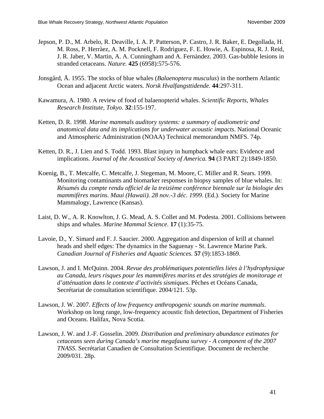- Jepson, P. D., M. Arbelo, R. Deaville, I. A. P. Patterson, P. Castro, J. R. Baker, E. Degollada, H. M. Ross, P. Herràez, A. M. Pocknell, F. Rodrìguez, F. E. Howie, A. Espinosa, R. J. Reid, J. R. Jaber, V. Martin, A. A. Cunningham and A. Fernàndez. 2003. Gas-bubble lesions in stranded cetaceans. *Nature.* **425** (6958):575-576.
- Jonsgård, Å. 1955. The stocks of blue whales (*Balaenoptera musculus*) in the northern Atlantic Ocean and adjacent Arctic waters. *Norsk Hvalfangsttidende.* **44**:297-311.
- Kawamura, A. 1980. A review of food of balaenopterid whales. *Scientific Reports, Whales Research Institute, Tokyo.* **32**:155-197.
- Ketten, D. R. 1998. *Marine mammals auditory systems: a summary of audiometric and anatomical data and its implications for underwater acoustic impacts*. National Oceanic and Atmospheric Administration (NOAA) Technical memorandum NMFS. 74p.
- Ketten, D. R., J. Lien and S. Todd. 1993. Blast injury in humpback whale ears: Evidence and implications. *Journal of the Acoustical Society of America.* **94** (3 PART 2):1849-1850.
- Koenig, B., T. Metcalfe, C. Metcalfe, J. Stegeman, M. Moore, C. Miller and R. Sears. 1999. Monitoring contaminants and biomarker responses in biopsy samples of blue whales. In: *Résumés du compte rendu officiel de la treizième conférence biennale sur la biologie des mammifères marins. Maui (Hawaii). 28 nov.-3 déc. 1999*. (Ed.). Society for Marine Mammalogy, Lawrence (Kansas).
- Laist, D. W., A. R. Knowlton, J. G. Mead, A. S. Collet and M. Podesta. 2001. Collisions between ships and whales. *Marine Mammal Science.* **17** (1):35-75.
- Lavoie, D., Y. Simard and F. J. Saucier. 2000. Aggregation and dispersion of krill at channel heads and shelf edges: The dynamics in the Saguenay - St. Lawrence Marine Park. *Canadian Journal of Fisheries and Aquatic Sciences.* **57** (9):1853-1869.
- Lawson, J. and I. McQuinn. 2004. *Revue des problématiques potentielles liées à l'hydrophysique au Canada, leurs risques pour les mammifères marins et des stratégies de monitorage et d'atténuation dans le contexte d'activités sismiques*. Pêches et Océans Canada, Secrétariat de consultation scientifique. 2004/121. 53p.
- Lawson, J. W. 2007. *Effects of low frequency anthropogenic sounds on marine mammals*. Workshop on long range, low-frequency acoustic fish detection, Department of Fisheries and Oceans. Halifax, Nova Scotia.
- Lawson, J. W. and J.-F. Gosselin. 2009. *Distribution and preliminary abundance estimates for cetaceans seen during Canada's marine megafauna survey - A component of the 2007 TNASS*. Secrétariat Canadien de Consultation Scientifique. Document de recherche 2009/031. 28p.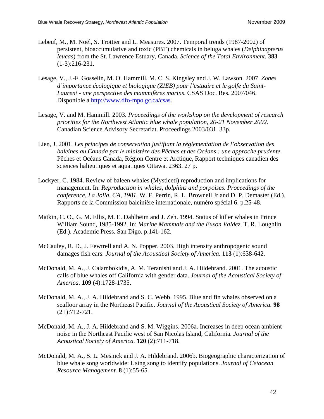- Lebeuf, M., M. Noël, S. Trottier and L. Measures. 2007. Temporal trends (1987-2002) of persistent, bioaccumulative and toxic (PBT) chemicals in beluga whales (*Delphinapterus leucas*) from the St. Lawrence Estuary, Canada. *Science of the Total Environment.* **383** (1-3):216-231.
- Lesage, V., J.-F. Gosselin, M. O. Hammill, M. C. S. Kingsley and J. W. Lawson. 2007. *Zones d'importance écologique et biologique (ZIEB) pour l'estuaire et le golfe du Saint-Laurent - une perspective des mammifères marins*. CSAS Doc. Res. 2007/046. Disponible à <http://www.dfo-mpo.gc.ca/csas>.
- Lesage, V. and M. Hammill. 2003. *Proceedings of the workshop on the development of research priorities for the Northwest Atlantic blue whale population, 20-21 November 2002*. Canadian Science Advisory Secretariat. Proceedings 2003/031. 33p.
- Lien, J. 2001. *Les principes de conservation justifiant la réglementation de l'observation des baleines au Canada par le ministère des Pêches et des Océans : une approche prudente*. Pêches et Océans Canada, Région Centre et Arctique, Rapport techniques canadien des sciences halieutiques et aquatiques Ottawa. 2363. 27 p.
- Lockyer, C. 1984. Review of baleen whales (Mysticeti) reproduction and implications for management. In: *Reproduction in whales, dolphins and porpoises. Proceedings of the conference, La Jolla, CA, 1981.* W. F. Perrin, R. L. Brownell Jr and D. P. Demaster (Ed.). Rapports de la Commission baleinière internationale, numéro spécial 6. p.25-48.
- Matkin, C. O., G. M. Ellis, M. E. Dahlheim and J. Zeh. 1994. Status of killer whales in Prince William Sound, 1985-1992. In: *Marine Mammals and the Exxon Valdez*. T. R. Loughlin (Ed.). Academic Press. San Digo. p.141-162.
- McCauley, R. D., J. Fewtrell and A. N. Popper. 2003. High intensity anthropogenic sound damages fish ears. *Journal of the Acoustical Society of America.* **113** (1):638-642.
- McDonald, M. A., J. Calambokidis, A. M. Teranishi and J. A. Hildebrand. 2001. The acoustic calls of blue whales off California with gender data. *Journal of the Acoustical Society of America.* **109** (4):1728-1735.
- McDonald, M. A., J. A. Hildebrand and S. C. Webb. 1995. Blue and fin whales observed on a seafloor array in the Northeast Pacific. *Journal of the Acoustical Society of America.* **98** (2 I):712-721.
- McDonald, M. A., J. A. Hildebrand and S. M. Wiggins. 2006a. Increases in deep ocean ambient noise in the Northeast Pacific west of San Nicolas Island, California. *Journal of the Acoustical Society of America.* **120** (2):711-718.
- McDonald, M. A., S. L. Mesnick and J. A. Hildebrand. 2006b. Biogeographic characterization of blue whale song worldwide: Using song to identify populations. *Journal of Cetacean Resource Management.* **8** (1):55-65.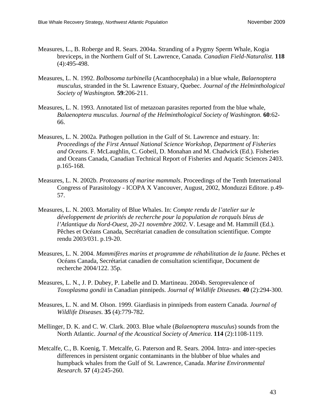- Measures, L., B. Roberge and R. Sears. 2004a. Stranding of a Pygmy Sperm Whale, Kogia breviceps, in the Northern Gulf of St. Lawrence, Canada. *Canadian Field-Naturalist.* **118** (4):495-498.
- Measures, L. N. 1992. *Bolbosoma turbinella* (Acanthocephala) in a blue whale, *Balaenoptera musculus*, stranded in the St. Lawrence Estuary, Quebec. *Journal of the Helminthological Society of Washington.* **59**:206-211.
- Measures, L. N. 1993. Annotated list of metazoan parasites reported from the blue whale, *Balaenoptera musculus*. *Journal of the Helminthological Society of Washington.* **60**:62- 66.
- Measures, L. N. 2002a. Pathogen pollution in the Gulf of St. Lawrence and estuary. In: *Proceedings of the First Annual National Science Workshop, Department of Fisheries and Oceans*. F. McLaughlin, C. Gobeil, D. Monahan and M. Chadwick (Ed.). Fisheries and Oceans Canada, Canadian Technical Report of Fisheries and Aquatic Sciences 2403. p.165-168.
- Measures, L. N. 2002b. *Protozoans of marine mammals*. Proceedings of the Tenth International Congress of Parasitology - ICOPA X Vancouver, August, 2002, Monduzzi Editore. p.49- 57.
- Measures, L. N. 2003. Mortality of Blue Whales. In: *Compte rendu de l'atelier sur le développement de priorités de recherche pour la population de rorquals bleus de l'Atlantique du Nord-Ouest, 20-21 novembre 2002*. V. Lesage and M. Hammill (Ed.). Pêches et Océans Canada, Secrétariat canadien de consultation scientifique. Compte rendu 2003/031. p.19-20.
- Measures, L. N. 2004. *Mammifères marins et programme de réhabilitation de la faune*. Pêches et Océans Canada, Secrétariat canadien de consultation scientifique, Document de recherche 2004/122. 35p.
- Measures, L. N., J. P. Dubey, P. Labelle and D. Martineau. 2004b. Seroprevalence of *Toxoplasma gondii* in Canadian pinnipeds. *Journal of Wildlife Diseases.* **40** (2):294-300.
- Measures, L. N. and M. Olson. 1999. Giardiasis in pinnipeds from eastern Canada. *Journal of Wildlife Diseases.* **35** (4):779-782.
- Mellinger, D. K. and C. W. Clark. 2003. Blue whale (*Balaenoptera musculus*) sounds from the North Atlantic. *Journal of the Acoustical Society of America.* **114** (2):1108-1119.
- Metcalfe, C., B. Koenig, T. Metcalfe, G. Paterson and R. Sears. 2004. Intra- and inter-species differences in persistent organic contaminants in the blubber of blue whales and humpback whales from the Gulf of St. Lawrence, Canada. *Marine Environmental Research.* **57** (4):245-260.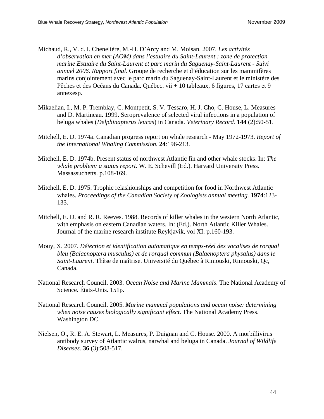- Michaud, R., V. d. l. Chenelière, M.-H. D'Arcy and M. Moisan. 2007. *Les activités d'observation en mer (AOM) dans l'estuaire du Saint-Laurent : zone de protection marine Estuaire du Saint-Laurent et parc marin du Saguenay-Saint-Laurent - Suivi annuel 2006. Rapport final*. Groupe de recherche et d'éducation sur les mammifères marins conjointement avec le parc marin du Saguenay-Saint-Laurent et le ministère des Pêches et des Océans du Canada. Québec. vii + 10 tableaux, 6 figures, 17 cartes et 9 annexesp.
- Mikaelian, I., M. P. Tremblay, C. Montpetit, S. V. Tessaro, H. J. Cho, C. House, L. Measures and D. Martineau. 1999. Seroprevalence of selected viral infections in a population of beluga whales (*Delphinapterus leucas*) in Canada. *Veterinary Record.* **144** (2):50-51.
- Mitchell, E. D. 1974a. Canadian progress report on whale research May 1972-1973. *Report of the International Whaling Commission.* **24**:196-213.
- Mitchell, E. D. 1974b. Present status of northwest Atlantic fin and other whale stocks. In: *The whale problem: a status report*. W. E. Schevill (Ed.). Harvard University Press. Massassuchetts. p.108-169.
- Mitchell, E. D. 1975. Trophic relashionships and competition for food in Northwest Atlantic whales. *Proceedings of the Canadian Society of Zoologists annual meeting.* **1974**:123- 133.
- Mitchell, E. D. and R. R. Reeves. 1988. Records of killer whales in the western North Atlantic, with emphasis on eastern Canadian waters. In: (Ed.). North Atlantic Killer Whales. Journal of the marine research institute Reykjavik, vol XI. p.160-193.
- Mouy, X. 2007. *Détection et identification automatique en temps-réel des vocalises de rorqual bleu (Balaenoptera musculus) et de rorqual commun (Balaenoptera physalus) dans le Saint-Laurent*. Thèse de maîtrise. Université du Québec à Rimouski, Rimouski, Qc, Canada.
- National Research Council. 2003. *Ocean Noise and Marine Mammals*. The National Academy of Science. États-Unis. 151p.
- National Research Council. 2005. *Marine mammal populations and ocean noise: determining when noise causes biologically significant effect*. The National Academy Press. Washington DC.
- Nielsen, O., R. E. A. Stewart, L. Measures, P. Duignan and C. House. 2000. A morbillivirus antibody survey of Atlantic walrus, narwhal and beluga in Canada. *Journal of Wildlife Diseases.* **36** (3):508-517.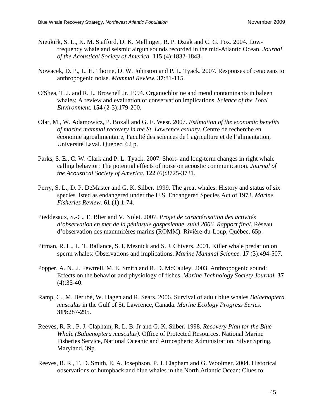- Nieukirk, S. L., K. M. Stafford, D. K. Mellinger, R. P. Dziak and C. G. Fox. 2004. Lowfrequency whale and seismic airgun sounds recorded in the mid-Atlantic Ocean. *Journal of the Acoustical Society of America.* **115** (4):1832-1843.
- Nowacek, D. P., L. H. Thorne, D. W. Johnston and P. L. Tyack. 2007. Responses of cetaceans to anthropogenic noise. *Mammal Review.* **37**:81-115.
- O'Shea, T. J. and R. L. Brownell Jr. 1994. Organochlorine and metal contaminants in baleen whales: A review and evaluation of conservation implications. *Science of the Total Environment.* **154** (2-3):179-200.
- Olar, M., W. Adamowicz, P. Boxall and G. E. West. 2007. *Estimation of the economic benefits of marine mammal recovery in the St. Lawrence estuary*. Centre de recherche en économie agroalimentaire, Faculté des sciences de l'agriculture et de l'alimentation, Université Laval. Québec. 62 p.
- Parks, S. E., C. W. Clark and P. L. Tyack. 2007. Short- and long-term changes in right whale calling behavior: The potential effects of noise on acoustic communication. *Journal of the Acoustical Society of America.* **122** (6):3725-3731.
- Perry, S. L., D. P. DeMaster and G. K. Silber. 1999. The great whales: History and status of six species listed as endangered under the U.S. Endangered Species Act of 1973. *Marine Fisheries Review.* **61** (1):1-74.
- Pieddesaux, S.-C., E. Blier and V. Nolet. 2007. *Projet de caractérisation des activités d'observation en mer de la péninsule gaspésienne, suivi 2006. Rapport final*. Réseau d'observation des mammifères marins (ROMM). Rivière-du-Loup, Québec. 65p.
- Pitman, R. L., L. T. Ballance, S. I. Mesnick and S. J. Chivers. 2001. Killer whale predation on sperm whales: Observations and implications. *Marine Mammal Science.* **17** (3):494-507.
- Popper, A. N., J. Fewtrell, M. E. Smith and R. D. McCauley. 2003. Anthropogenic sound: Effects on the behavior and physiology of fishes. *Marine Technology Society Journal.* **37**  $(4):35-40.$
- Ramp, C., M. Bérubé, W. Hagen and R. Sears. 2006. Survival of adult blue whales *Balaenoptera musculus* in the Gulf of St. Lawrence, Canada. *Marine Ecology Progress Series.* **319**:287-295.
- Reeves, R. R., P. J. Clapham, R. L. B. Jr and G. K. Silber. 1998. *Recovery Plan for the Blue Whale (Balaenoptera musculus)*. Office of Protected Resources, National Marine Fisheries Service, National Oceanic and Atmospheric Administration. Silver Spring, Maryland. 39p.
- Reeves, R. R., T. D. Smith, E. A. Josephson, P. J. Clapham and G. Woolmer. 2004. Historical observations of humpback and blue whales in the North Atlantic Ocean: Clues to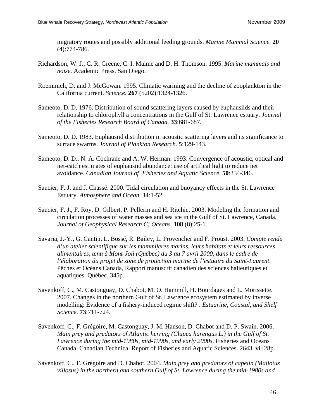migratory routes and possibly additional feeding grounds. *Marine Mammal Science.* **20** (4):774-786.

- Richardson, W. J., C. R. Greene, C. I. Malme and D. H. Thomson. 1995. *Marine mammals and noise.* Academic Press. San Diego.
- Roemmich, D. and J. McGowan. 1995. Climatic warming and the decline of zooplankton in the California current. *Science.* **267** (5202):1324-1326.
- Sameoto, D. D. 1976. Distribution of sound scattering layers caused by euphausiids and their relationship to chlorophyll a concentrations in the Gulf of St. Lawrence estuary. *Journal of the Fisheries Research Board of Canada.* **33**:681-687.
- Sameoto, D. D. 1983. Euphausiid distribution in acoustic scattering layers and its significance to surface swarms. *Journal of Plankton Research.* **5**:129-143.
- Sameoto, D. D., N. A. Cochrane and A. W. Herman. 1993. Convergence of acoustic, optical and net-catch estimates of euphausiid abundance: use of artifical light to reduce net avoidance. *Canadian Journal of Fisheries and Aquatic Science.* **50**:334-346.
- Saucier, F. J. and J. Chassé. 2000. Tidal circulation and buoyancy effects in the St. Lawrence Estuary. *Atmosphere and Ocean.* **34**:1-52.
- Saucier, F. J., F. Roy, D. Gilbert, P. Pellerin and H. Ritchie. 2003. Modeling the formation and circulation processes of water masses and sea ice in the Gulf of St. Lawrence, Canada. *Journal of Geophysical Research C: Oceans.* **108** (8):25-1.
- Savaria, J.-Y., G. Cantin, L. Bossé, R. Bailey, L. Provencher and F. Proust. 2003. *Compte rendu d'un atelier scientifique sur les mammifères marins, leurs habitats et leurs ressources alimentaires, tenu à Mont-Joli (Québec) du 3 au 7 avril 2000, dans le cadre de l'élaboration du projet de zone de protection marine de l'estuaire du Saint-Laurent*. Pêches et Océans Canada, Rapport manuscrit canadien des sciences halieutiques et aquatiques. Québec. 345p.
- Savenkoff, C., M. Castonguay, D. Chabot, M. O. Hammill, H. Bourdages and L. Morissette. 2007. Changes in the northern Gulf of St. Lawrence ecosystem estimated by inverse modelling: Evidence of a fishery-induced regime shift? . *Estuarine, Coastal, and Shelf Science.* **73**:711-724.
- Savenkoff, C., F. Grégoire, M. Castonguay, J. M. Hanson, D. Chabot and D. P. Swain. 2006. *Main prey and predators of Atlantic herring (Clupea harengus L.) in the Gulf of St. Lawrence during the mid-1980s, mid-1990s, and early 2000s*. Fisheries and Oceans Canada, Canadian Technical Report of Fisheries and Aquatic Sciences. 2643. vi+28p.
- Savenkoff, C., F. Grégoire and D. Chabot. 2004. *Main prey and predators of capelin (Mallotus villosus) in the northern and southern Gulf of St. Lawrence during the mid-1980s and*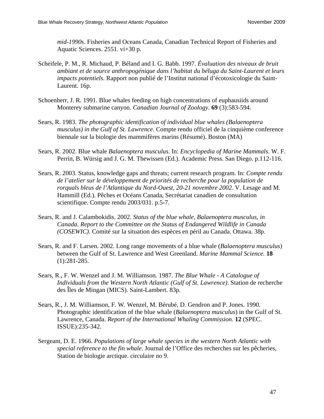*mid-1990s*. Fisheries and Oceans Canada, Canadian Technical Report of Fisheries and Aquatic Sciences. 2551. vi+30 p.

- Scheifele, P. M., R. Michaud, P. Béland and I. G. Babb. 1997. *Évaluation des niveaux de bruit ambiant et de source anthropogénique dans l'habitat du béluga du Saint-Laurent et leurs impacts potentiels*. Rapport non publié de l'Institut national d'écotoxicologie du Saint-Laurent. 16p.
- Schoenherr, J. R. 1991. Blue whales feeding on high concentrations of euphausiids around Monterey submarine canyon. *Canadian Journal of Zoology.* **69** (3):583-594.
- Sears, R. 1983. *The photographic identification of individual blue whales (Balaenoptera musculus) in the Gulf of St. Lawrence*. Compte rendu officiel de la cinquième conference biennale sur la biologie des mammifères marins (Résumé). Boston (MA)
- Sears, R. 2002. Blue whale *Balaenoptera musculus*. In: *Encyclopedia of Marine Mammals*. W. F. Perrin, B. Würsig and J. G. M. Thewissen (Ed.). Academic Press. San Diego. p.112-116.
- Sears, R. 2003. Status, knowledge gaps and threats; current research program. In: *Compte rendu de l'atelier sur le développement de priorités de recherche pour la population de rorquals bleus de l'Atlantique du Nord-Ouest, 20-21 novembre 2002*. V. Lesage and M. Hammill (Ed.). Pêches et Océans Canada, Secrétariat canadien de consultation scientifique. Compte rendu 2003/031. p.5-7.
- Sears, R. and J. Calambokidis. 2002. *Status of the blue whale, Balaenoptera musculus, in Canada. Report to the Committee on the Status of Endangered Wildlife in Canada (COSEWIC)*. Comité sur la situation des espèces en péril au Canada. Ottawa. 38p.
- Sears, R. and F. Larsen. 2002. Long range movements of a blue whale (*Balaenoptera musculus*) between the Gulf of St. Lawrence and West Greenland. *Marine Mammal Science.* **18** (1):281-285.
- Sears, R., F. W. Wenzel and J. M. Williamson. 1987. *The Blue Whale A Catalogue of Individuals from the Western North Atlantic (Gulf of St. Lawrence)*. Station de recherche des Îles de Mingan (MICS). Saint-Lambert. 83p.
- Sears, R., J. M. Williamson, F. W. Wenzel, M. Bérubé, D. Gendron and P. Jones. 1990. Photographic identification of the blue whale (*Balaenoptera musculus*) in the Gulf of St. Lawrence, Canada. *Report of the International Whaling Commission.* **12** (SPEC. ISSUE):235-342.
- Sergeant, D. E. 1966. *Populations of large whale species in the western North Atlantic with special reference to the fin whale*. Journal de l'Office des recherches sur les pêcheries, Station de biologie arctique. circulaire no 9.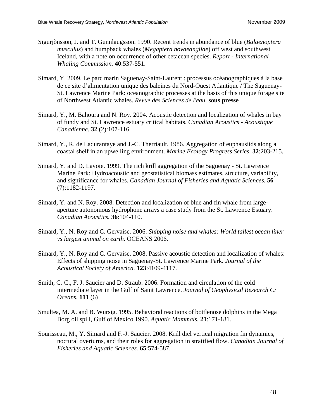- Sigurjònsson, J. and T. Gunnlaugsson. 1990. Recent trends in abundance of blue (*Balaenoptera musculus*) and humpback whales (*Megaptera novaeangliae*) off west and southwest Iceland, with a note on occurrence of other cetacean species. *Report - International Whaling Commission.* **40**:537-551.
- Simard, Y. 2009. Le parc marin Saguenay-Saint-Laurent : processus océanographiques à la base de ce site d'alimentation unique des baleines du Nord-Ouest Atlantique / The Saguenay-St. Lawrence Marine Park: oceanographic processes at the basis of this unique forage site of Northwest Atlantic whales. *Revue des Sciences de l'eau.* **sous presse**
- Simard, Y., M. Bahoura and N. Roy. 2004. Acoustic detection and localization of whales in bay of fundy and St. Lawrence estuary critical habitats. *Canadian Acoustics - Acoustique Canadienne.* **32** (2):107-116.
- Simard, Y., R. de Ladurantaye and J.-C. Therriault. 1986. Aggregation of euphausiids along a coastal shelf in an upwelling environment. *Marine Ecology Progress Series.* **32**:203-215.
- Simard, Y. and D. Lavoie. 1999. The rich krill aggregation of the Saguenay St. Lawrence Marine Park: Hydroacoustic and geostatistical biomass estimates, structure, variability, and significance for whales. *Canadian Journal of Fisheries and Aquatic Sciences.* **56** (7):1182-1197.
- Simard, Y. and N. Roy. 2008. Detection and localization of blue and fin whale from largeaperture autonomous hydrophone arrays a case study from the St. Lawrence Estuary. *Canadian Acoustics.* **36**:104-110.
- Simard, Y., N. Roy and C. Gervaise. 2006. *Shipping noise and whales: World tallest ocean liner vs largest animal on earth*. OCEANS 2006.
- Simard, Y., N. Roy and C. Gervaise. 2008. Passive acoustic detection and localization of whales: Effects of shipping noise in Saguenay-St. Lawrence Marine Park. *Journal of the Acoustical Society of America.* **123**:4109-4117.
- Smith, G. C., F. J. Saucier and D. Straub. 2006. Formation and circulation of the cold intermediate layer in the Gulf of Saint Lawrence. *Journal of Geophysical Research C: Oceans.* **111** (6)
- Smultea, M. A. and B. Wursig. 1995. Behavioral reactions of bottlenose dolphins in the Mega Borg oil spill, Gulf of Mexico 1990. *Aquatic Mammals.* **21**:171-181.
- Sourisseau, M., Y. Simard and F.-J. Saucier. 2008. Krill diel vertical migration fin dynamics, noctural overturns, and their roles for aggregation in stratified flow. *Canadian Journal of Fisheries and Aquatic Sciences.* **65**:574-587.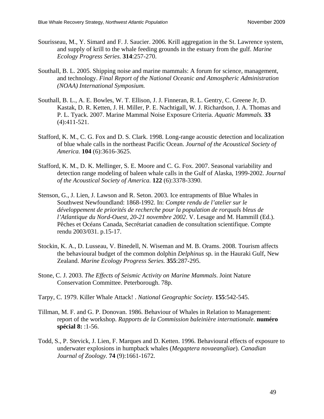- Sourisseau, M., Y. Simard and F. J. Saucier. 2006. Krill aggregation in the St. Lawrence system, and supply of krill to the whale feeding grounds in the estuary from the gulf. *Marine Ecology Progress Series.* **314**:257-270.
- Southall, B. L. 2005. Shipping noise and marine mammals: A forum for science, management, and technology. *Final Report of the National Oceanic and Atmospheric Administration (NOAA) International Symposium.*
- Southall, B. L., A. E. Bowles, W. T. Ellison, J. J. Finneran, R. L. Gentry, C. Greene Jr, D. Kastak, D. R. Ketten, J. H. Miller, P. E. Nachtigall, W. J. Richardson, J. A. Thomas and P. L. Tyack. 2007. Marine Mammal Noise Exposure Criteria. *Aquatic Mammals.* **33** (4):411-521.
- Stafford, K. M., C. G. Fox and D. S. Clark. 1998. Long-range acoustic detection and localization of blue whale calls in the northeast Pacific Ocean. *Journal of the Acoustical Society of America.* **104** (6):3616-3625.
- Stafford, K. M., D. K. Mellinger, S. E. Moore and C. G. Fox. 2007. Seasonal variability and detection range modeling of baleen whale calls in the Gulf of Alaska, 1999-2002. *Journal of the Acoustical Society of America.* **122** (6):3378-3390.
- Stenson, G., J. Lien, J. Lawson and R. Seton. 2003. Ice entrapments of Blue Whales in Southwest Newfoundland: 1868-1992. In: *Compte rendu de l'atelier sur le développement de priorités de recherche pour la population de rorquals bleus de l'Atlantique du Nord-Ouest, 20-21 novembre 2002*. V. Lesage and M. Hammill (Ed.). Pêches et Océans Canada, Secrétariat canadien de consultation scientifique. Compte rendu 2003/031. p.15-17.
- Stockin, K. A., D. Lusseau, V. Binedell, N. Wiseman and M. B. Orams. 2008. Tourism affects the behavioural budget of the common dolphin *Delphinus* sp. in the Hauraki Gulf, New Zealand. *Marine Ecology Progress Series.* **355**:287-295.
- Stone, C. J. 2003. *The Effects of Seismic Activity on Marine Mammals*. Joint Nature Conservation Committee. Peterborough. 78p.
- Tarpy, C. 1979. Killer Whale Attack! . *National Geographic Society.* **155**:542-545.
- Tillman, M. F. and G. P. Donovan. 1986. Behaviour of Whales in Relation to Management: report of the workshop. *Rapports de la Commission baleinière internationale.* **numéro spécial 8:** :1-56.
- Todd, S., P. Stevick, J. Lien, F. Marques and D. Ketten. 1996. Behavioural effects of exposure to underwater explosions in humpback whales (*Megaptera novaeangliae*). *Canadian Journal of Zoology.* **74** (9):1661-1672.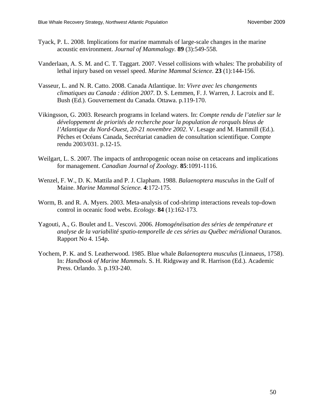- Tyack, P. L. 2008. Implications for marine mammals of large-scale changes in the marine acoustic environment. *Journal of Mammalogy.* **89** (3):549-558.
- Vanderlaan, A. S. M. and C. T. Taggart. 2007. Vessel collisions with whales: The probability of lethal injury based on vessel speed. *Marine Mammal Science.* **23** (1):144-156.
- Vasseur, L. and N. R. Catto. 2008. Canada Atlantique. In: *Vivre avec les changements climatiques au Canada : édition 2007*. D. S. Lemmen, F. J. Warren, J. Lacroix and E. Bush (Ed.). Gouvernement du Canada. Ottawa. p.119-170.
- Vikingsson, G. 2003. Research programs in Iceland waters. In: *Compte rendu de l'atelier sur le développement de priorités de recherche pour la population de rorquals bleus de l'Atlantique du Nord-Ouest, 20-21 novembre 2002*. V. Lesage and M. Hammill (Ed.). Pêches et Océans Canada, Secrétariat canadien de consultation scientifique. Compte rendu 2003/031. p.12-15.
- Weilgart, L. S. 2007. The impacts of anthropogenic ocean noise on cetaceans and implications for management. *Canadian Journal of Zoology.* **85**:1091-1116.
- Wenzel, F. W., D. K. Mattila and P. J. Clapham. 1988. *Balaenoptera musculus* in the Gulf of Maine. *Marine Mammal Science.* **4**:172-175.
- Worm, B. and R. A. Myers. 2003. Meta-analysis of cod-shrimp interactions reveals top-down control in oceanic food webs. *Ecology.* **84** (1):162-173.
- Yagouti, A., G. Boulet and L. Vescovi. 2006. *Homogénéisation des séries de température et*  analyse de la variabilité spatio-temporelle de ces séries au Québec méridional Ouranos. Rapport No 4. 154p.
- Yochem, P. K. and S. Leatherwood. 1985. Blue whale *Balaenoptera musculus* (Linnaeus, 1758). In: *Handbook of Marine Mammals*. S. H. Ridgsway and R. Harrison (Ed.). Academic Press. Orlando. 3. p.193-240.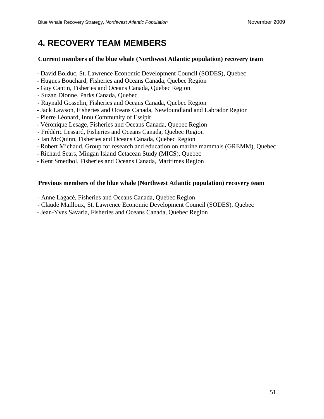# **4. RECOVERY TEAM MEMBERS**

#### **Current members of the blue whale (Northwest Atlantic population) recovery team**

- David Bolduc, St. Lawrence Economic Development Council (SODES), Quebec
- Hugues Bouchard, Fisheries and Oceans Canada, Quebec Region
- Guy Cantin, Fisheries and Oceans Canada, Quebec Region
- Suzan Dionne, Parks Canada, Quebec
- Raynald Gosselin, Fisheries and Oceans Canada, Quebec Region
- Jack Lawson, Fisheries and Oceans Canada, Newfoundland and Labrador Region
- Pierre Léonard, Innu Community of Essipit
- Véronique Lesage, Fisheries and Oceans Canada, Quebec Region
- Frédéric Lessard, Fisheries and Oceans Canada, Quebec Region
- Ian McQuinn, Fisheries and Oceans Canada, Quebec Region
- Robert Michaud, Group for research and education on marine mammals (GREMM), Quebec
- Richard Sears, Mingan Island Cetacean Study (MICS), Quebec
- Kent Smedbol, Fisheries and Oceans Canada, Maritimes Region

#### **Previous members of the blue whale (Northwest Atlantic population) recovery team**

- Anne Lagacé, Fisheries and Oceans Canada, Quebec Region
- Claude Mailloux, St. Lawrence Economic Development Council (SODES), Quebec
- <span id="page-60-0"></span>- Jean-Yves Savaria, Fisheries and Oceans Canada, Quebec Region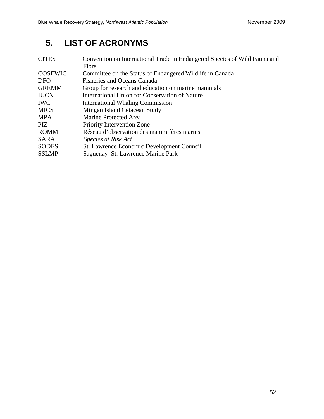# **5. LIST OF ACRONYMS**

<span id="page-61-0"></span>

| <b>CITES</b>   | Convention on International Trade in Endangered Species of Wild Fauna and |
|----------------|---------------------------------------------------------------------------|
|                | Flora                                                                     |
| <b>COSEWIC</b> | Committee on the Status of Endangered Wildlife in Canada                  |
| <b>DFO</b>     | <b>Fisheries and Oceans Canada</b>                                        |
| <b>GREMM</b>   | Group for research and education on marine mammals                        |
| <b>IUCN</b>    | International Union for Conservation of Nature                            |
| <b>IWC</b>     | <b>International Whaling Commission</b>                                   |
| <b>MICS</b>    | Mingan Island Cetacean Study                                              |
| <b>MPA</b>     | Marine Protected Area                                                     |
| PIZ.           | Priority Intervention Zone                                                |
| <b>ROMM</b>    | Réseau d'observation des mammifères marins                                |
| <b>SARA</b>    | Species at Risk Act                                                       |
| <b>SODES</b>   | <b>St. Lawrence Economic Development Council</b>                          |
| <b>SSLMP</b>   | Saguenay–St. Lawrence Marine Park                                         |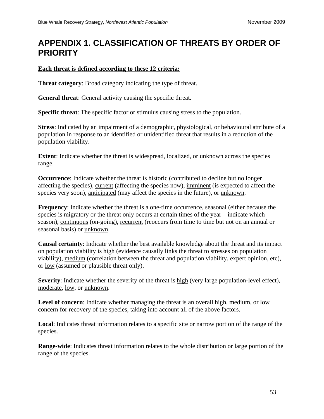# <span id="page-62-0"></span>**APPENDIX 1. CLASSIFICATION OF THREATS BY ORDER OF PRIORITY**

#### **Each threat is defined according to these 12 criteria:**

**Threat category**: Broad category indicating the type of threat.

**General threat**: General activity causing the specific threat.

**Specific threat**: The specific factor or stimulus causing stress to the population.

**Stress**: Indicated by an impairment of a demographic, physiological, or behavioural attribute of a population in response to an identified or unidentified threat that results in a reduction of the population viability.

**Extent**: Indicate whether the threat is widespread, localized, or unknown across the species range.

**Occurrence**: Indicate whether the threat is historic (contributed to decline but no longer affecting the species), current (affecting the species now), imminent (is expected to affect the species very soon), anticipated (may affect the species in the future), or unknown.

**Frequency**: Indicate whether the threat is a one-time occurrence, seasonal (either because the species is migratory or the threat only occurs at certain times of the year – indicate which season), continuous (on-going), recurrent (reoccurs from time to time but not on an annual or seasonal basis) or <u>unknown</u>.

**Causal certainty**: Indicate whether the best available knowledge about the threat and its impact on population viability is high (evidence causally links the threat to stresses on population viability), medium (correlation between the threat and population viability, expert opinion, etc), or low (assumed or plausible threat only).

**Severity**: Indicate whether the severity of the threat is high (very large population-level effect), moderate, low, or unknown.

Level of concern: Indicate whether managing the threat is an overall high, medium, or low concern for recovery of the species, taking into account all of the above factors.

**Local**: Indicates threat information relates to a specific site or narrow portion of the range of the species.

**Range-wide**: Indicates threat information relates to the whole distribution or large portion of the range of the species.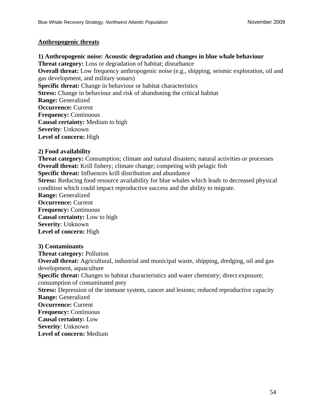#### **Anthropogenic threats**

**1) Anthropogenic noise: Acoustic degradation and changes in blue whale behaviour Threat category:** Loss or degradation of habitat; disturbance **Overall threat:** Low frequency anthropogenic noise (e.g., shipping, seismic exploration, oil and gas development, and military sonars) **Specific threat:** Change in behaviour or habitat characteristics **Stress:** Change in behaviour and risk of abandoning the critical habitat **Range:** Generalized **Occurrence:** Current **Frequency:** Continuous **Causal certainty:** Medium to high **Severity**: Unknown **Level of concern:** High

#### **2) Food availability**

**Threat category:** Consumption; climate and natural disasters; natural activities or processes **Overall threat:** Krill fishery; climate change; competing with pelagic fish

**Specific threat:** Influences krill distribution and abundance

**Stress:** Reducing food resource availability for blue whales which leads to decreased physical condition which could impact reproductive success and the ability to migrate.

**Range:** Generalized

**Occurrence:** Current **Frequency:** Continuous **Causal certainty:** Low to high **Severity**: Unknown **Level of concern:** High

#### **3) Contaminants**

**Threat category:** Pollution **Overall threat:** Agricultural, industrial and municipal waste, shipping, dredging, oil and gas development, aquaculture **Specific threat:** Changes to habitat characteristics and water chemistry; direct exposure; consumption of contaminated prey **Stress:** Depression of the immune system, cancer and lesions; reduced reproductive capacity **Range:** Generalized **Occurrence:** Current **Frequency:** Continuous **Causal certainty:** Low **Severity**: Unknown **Level of concern:** Medium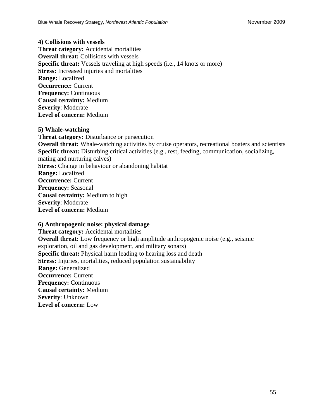**4) Collisions with vessels Threat category:** Accidental mortalities **Overall threat:** Collisions with vessels **Specific threat:** Vessels traveling at high speeds (i.e., 14 knots or more) **Stress:** Increased injuries and mortalities **Range:** Localized **Occurrence:** Current **Frequency:** Continuous **Causal certainty:** Medium **Severity**: Moderate **Level of concern:** Medium

#### **5) Whale-watching**

**Threat category:** Disturbance or persecution **Overall threat:** Whale-watching activities by cruise operators, recreational boaters and scientists **Specific threat:** Disturbing critical activities (e.g., rest, feeding, communication, socializing, mating and nurturing calves) **Stress:** Change in behaviour or abandoning habitat **Range:** Localized **Occurrence:** Current **Frequency:** Seasonal **Causal certainty:** Medium to high **Severity**: Moderate **Level of concern:** Medium

#### **6) Anthropogenic noise: physical damage**

**Threat category:** Accidental mortalities **Overall threat:** Low frequency or high amplitude anthropogenic noise (e.g., seismic exploration, oil and gas development, and military sonars) **Specific threat:** Physical harm leading to hearing loss and death **Stress:** Injuries, mortalities, reduced population sustainability **Range:** Generalized **Occurrence:** Current **Frequency:** Continuous **Causal certainty:** Medium **Severity**: Unknown **Level of concern:** Low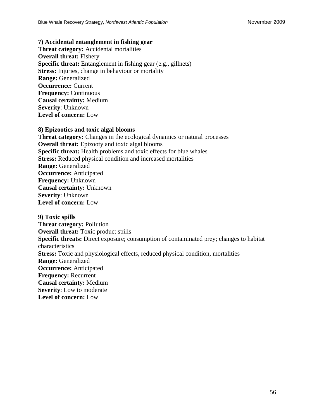#### **7) Accidental entanglement in fishing gear**

**Threat category:** Accidental mortalities **Overall threat:** Fishery **Specific threat:** Entanglement in fishing gear (e.g., gillnets) **Stress:** Injuries, change in behaviour or mortality **Range:** Generalized **Occurrence:** Current **Frequency:** Continuous **Causal certainty:** Medium **Severity**: Unknown **Level of concern:** Low

#### **8) Epizootics and toxic algal blooms**

**Threat category:** Changes in the ecological dynamics or natural processes **Overall threat:** Epizooty and toxic algal blooms **Specific threat:** Health problems and toxic effects for blue whales **Stress:** Reduced physical condition and increased mortalities **Range:** Generalized **Occurrence:** Anticipated **Frequency:** Unknown **Causal certainty:** Unknown **Severity**: Unknown **Level of concern:** Low

**9) Toxic spills Threat category:** Pollution **Overall threat:** Toxic product spills **Specific threats:** Direct exposure; consumption of contaminated prey; changes to habitat characteristics **Stress:** Toxic and physiological effects, reduced physical condition, mortalities **Range:** Generalized **Occurrence:** Anticipated **Frequency:** Recurrent **Causal certainty:** Medium **Severity**: Low to moderate **Level of concern:** Low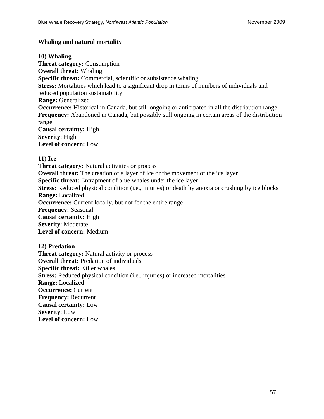#### **Whaling and natural mortality**

**10) Whaling Threat category:** Consumption **Overall threat:** Whaling **Specific threat:** Commercial, scientific or subsistence whaling **Stress:** Mortalities which lead to a significant drop in terms of numbers of individuals and reduced population sustainability **Range:** Generalized **Occurrence:** Historical in Canada, but still ongoing or anticipated in all the distribution range **Frequency:** Abandoned in Canada, but possibly still ongoing in certain areas of the distribution range **Causal certainty:** High **Severity**: High **Level of concern:** Low

#### **11) Ice**

**Threat category:** Natural activities or process **Overall threat:** The creation of a layer of ice or the movement of the ice layer **Specific threat:** Entrapment of blue whales under the ice layer **Stress:** Reduced physical condition (i.e., injuries) or death by anoxia or crushing by ice blocks **Range:** Localized **Occurrence:** Current locally, but not for the entire range **Frequency:** Seasonal **Causal certainty:** High **Severity**: Moderate **Level of concern:** Medium

**12) Predation Threat category:** Natural activity or process **Overall threat:** Predation of individuals **Specific threat:** Killer whales **Stress:** Reduced physical condition (i.e., injuries) or increased mortalities **Range:** Localized **Occurrence:** Current **Frequency:** Recurrent **Causal certainty:** Low **Severity**: Low **Level of concern:** Low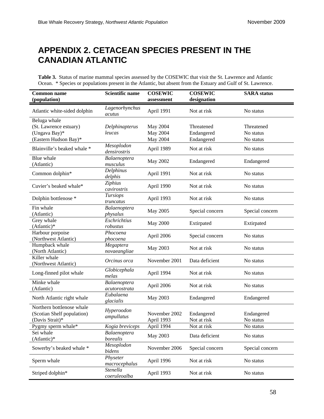# <span id="page-67-0"></span>**APPENDIX 2. CETACEAN SPECIES PRESENT IN THE CANADIAN ATLANTIC**

**Table 3.** Status of marine mammal species assessed by the COSEWIC that visit the St. Lawrence and Atlantic Ocean. \* Species or populations present in the Atlantic, but absent from the Estuary and Gulf of St. Lawrence.

<span id="page-67-1"></span>

| <b>Common name</b><br>(population)                                               | <b>Scientific name</b>                | <b>COSEWIC</b><br>assessment     | <b>COSEWIC</b><br>designation          | <b>SARA</b> status                   |
|----------------------------------------------------------------------------------|---------------------------------------|----------------------------------|----------------------------------------|--------------------------------------|
| Atlantic white-sided dolphin                                                     | Lagenorhynchus<br>acutus              | April 1991                       | Not at risk                            | No status                            |
| Beluga whale<br>(St. Lawrence estuary)<br>(Ungava Bay)*<br>(Eastern Hudson Bay)* | Delphinapterus<br>leucas              | May 2004<br>May 2004<br>May 2004 | Threatened<br>Endangered<br>Endangered | Threatened<br>No status<br>No status |
| Blainville's beaked whale *                                                      | Mesoplodon<br>densirostris            | April 1989                       | Not at risk                            | No status                            |
| Blue whale<br>(Atlantic)                                                         | Balaenoptera<br>musculus              | May 2002                         | Endangered                             | Endangered                           |
| Common dolphin*                                                                  | Delphinus<br>delphis                  | April 1991                       | Not at risk                            | No status                            |
| Cuvier's beaked whale*                                                           | Ziphius<br>cavirostris                | April 1990                       | Not at risk                            | No status                            |
| Dolphin bottlenose *                                                             | <b>Tursiops</b><br>truncatus          | April 1993                       | Not at risk                            | No status                            |
| Fin whale<br>(Atlantic)                                                          | Balaenoptera<br>physalus              | May 2005                         | Special concern                        | Special concern                      |
| Grey whale<br>(Atlantic)*                                                        | $\overline{Eschrichtius}$<br>robustus | <b>May 2000</b>                  | Extirpated                             | Extirpated                           |
| Harbour porpoise<br>(Northwest Atlantic)                                         | Phocoena<br>phocoena                  | April 2006                       | Special concern                        | No status                            |
| Humpback whale<br>(North Atlantic)                                               | Megaptera<br>novaeangliae             | May 2003                         | Not at risk                            | No status                            |
| Killer whale<br>(Northwest Atlantic)                                             | Orcinus orca                          | November 2001                    | Data deficient                         | No status                            |
| Long-finned pilot whale                                                          | Globicephala<br>melas                 | April 1994                       | Not at risk                            | No status                            |
| Minke whale<br>(Atlantic)                                                        | Balaenoptera<br>acutorostrata         | April 2006                       | Not at risk                            | No status                            |
| North Atlantic right whale                                                       | Eubalaena<br>glacialis                | May 2003                         | Endangered                             | Endangered                           |
| Northern bottlenose whale<br>(Scotian Shelf population)<br>(Davis Strait)*       | Hyperoodon<br>ampullatus              | November 2002<br>April 1993      | Endangered<br>Not at risk              | Endangered<br>No status              |
| Pygmy sperm whale*                                                               | Kogia breviceps                       | April 1994                       | Not at risk                            | No status                            |
| Sei whale<br>(Atlantic)*                                                         | Balaenoptera<br>borealis              | May 2003                         | Data deficient                         | No status                            |
| Sowerby's beaked whale *                                                         | Mesoplodon<br>bidens                  | November 2006                    | Special concern                        | Special concern                      |
| Sperm whale                                                                      | Physeter<br>macrocephalus             | April 1996                       | Not at risk                            | No status                            |
| Striped dolphin*                                                                 | Stenella<br>coeruleoalba              | April 1993                       | Not at risk                            | No status                            |